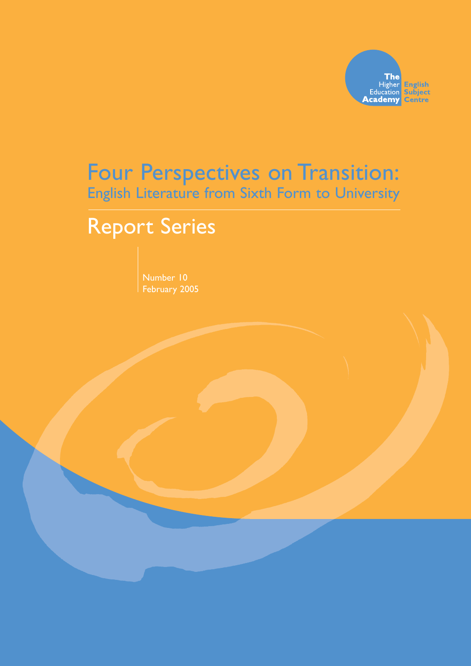

## Four Perspectives on Transition: English Literature from Sixth Form to University

# Report Series

February 2005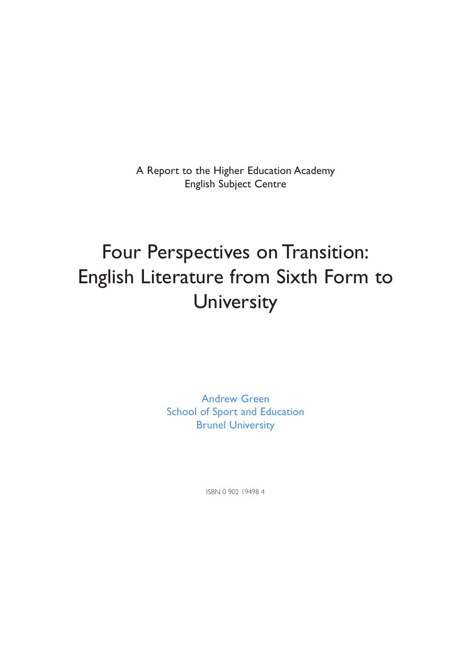A Report to the Higher Education Academy English Subject Centre

# Four Perspectives on Transition: English Literature from Sixth Form to **University**

Andrew Green School of Sport and Education Brunel University

ISBN 0 902 19498 4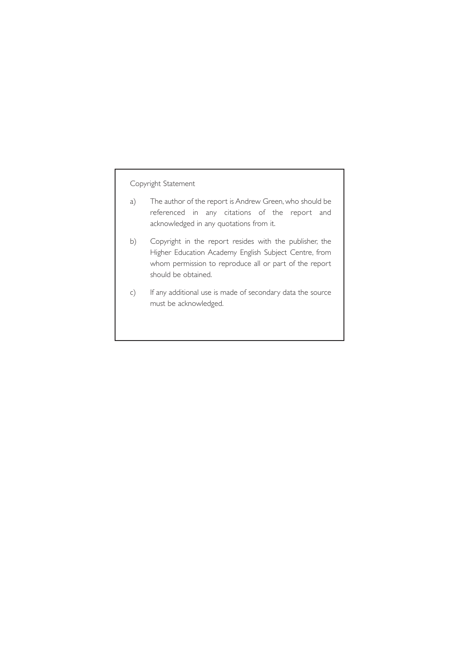#### Copyright Statement

- a) The author of the report is Andrew Green, who should be referenced in any citations of the report and acknowledged in any quotations from it.
- b) Copyright in the report resides with the publisher, the Higher Education Academy English Subject Centre, from whom permission to reproduce all or part of the report should be obtained.
- c) If any additional use is made of secondary data the source must be acknowledged.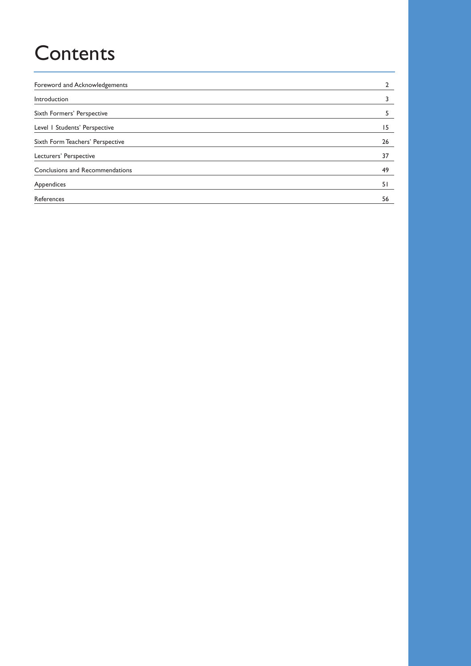# **Contents**

| Foreword and Acknowledgements    |    |
|----------------------------------|----|
| Introduction                     |    |
| Sixth Formers' Perspective       |    |
| Level   Students' Perspective    | 15 |
| Sixth Form Teachers' Perspective | 26 |
| Lecturers' Perspective           | 37 |
| Conclusions and Recommendations  | 49 |
| Appendices                       | 51 |
| References                       | 56 |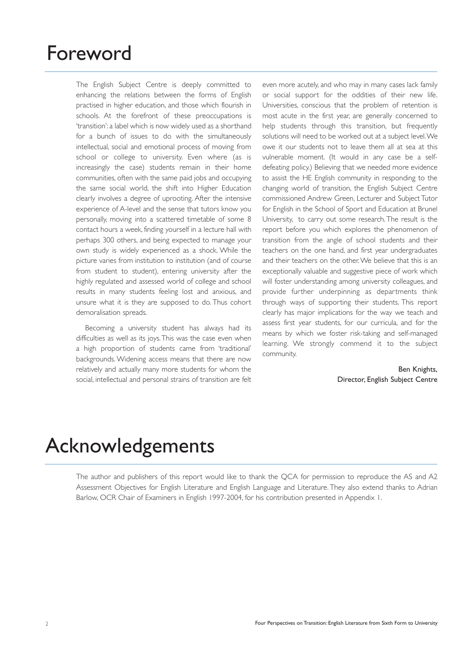## Foreword

The English Subject Centre is deeply committed to enhancing the relations between the forms of English practised in higher education, and those which flourish in schools. At the forefront of these preoccupations is 'transition': a label which is now widely used as a shorthand for a bunch of issues to do with the simultaneously intellectual, social and emotional process of moving from school or college to university. Even where (as is increasingly the case) students remain in their home communities, often with the same paid jobs and occupying the same social world, the shift into Higher Education clearly involves a degree of uprooting. After the intensive experience of A-level and the sense that tutors know you personally, moving into a scattered timetable of some 8 contact hours a week, finding yourself in a lecture hall with perhaps 300 others, and being expected to manage your own study is widely experienced as a shock. While the picture varies from institution to institution (and of course from student to student), entering university after the highly regulated and assessed world of college and school results in many students feeling lost and anxious, and unsure what it is they are supposed to do. Thus cohort demoralisation spreads.

Becoming a university student has always had its difficulties as well as its joys.This was the case even when a high proportion of students came from 'traditional' backgrounds. Widening access means that there are now relatively and actually many more students for whom the social, intellectual and personal strains of transition are felt

even more acutely, and who may in many cases lack family or social support for the oddities of their new life. Universities, conscious that the problem of retention is most acute in the first year, are generally concerned to help students through this transition, but frequently solutions will need to be worked out at a subject level.We owe it our students not to leave them all at sea at this vulnerable moment. (It would in any case be a selfdefeating policy.) Believing that we needed more evidence to assist the HE English community in responding to the changing world of transition, the English Subject Centre commissioned Andrew Green, Lecturer and Subject Tutor for English in the School of Sport and Education at Brunel University, to carry out some research. The result is the report before you which explores the phenomenon of transition from the angle of school students and their teachers on the one hand, and first year undergraduates and their teachers on the other.We believe that this is an exceptionally valuable and suggestive piece of work which will foster understanding among university colleagues, and provide further underpinning as departments think through ways of supporting their students. This report clearly has major implications for the way we teach and assess first year students, for our curricula, and for the means by which we foster risk-taking and self-managed learning. We strongly commend it to the subject community.

> Ben Knights, Director, English Subject Centre

# Acknowledgements

The author and publishers of this report would like to thank the QCA for permission to reproduce the AS and A2 Assessment Objectives for English Literature and English Language and Literature. They also extend thanks to Adrian Barlow, OCR Chair of Examiners in English 1997-2004, for his contribution presented in Appendix 1.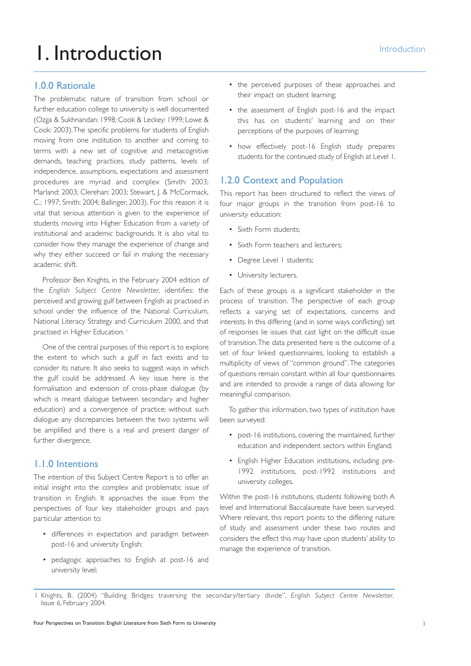# I. Introduction **1. Introduction**

#### 1.0.0 Rationale

The problematic nature of transition from school or further education college to university is well documented (Ozga & Sukhnandan: 1998; Cook & Leckey: 1999; Lowe & Cook: 2003).The specific problems for students of English moving from one institution to another and coming to terms with a new set of cognitive and metacognitive demands, teaching practices, study patterns, levels of independence, assumptions, expectations and assessment procedures are myriad and complex (Smith: 2003; Marland: 2003; Clerehan: 2003; Stewart, J. & McCormack, C.: 1997; Smith: 2004; Ballinger, 2003). For this reason it is vital that serious attention is given to the experience of students moving into Higher Education from a variety of institutional and academic backgrounds. It is also vital to consider how they manage the experience of change and why they either succeed or fail in making the necessary academic shift.

Professor Ben Knights, in the February 2004 edition of the *English Subject Centre Newsletter*, identifies: the perceived and growing gulf between English as practised in school under the influence of the National Curriculum, National Literacy Strategy and Curriculum 2000, and that practised in Higher Education.<sup>1</sup>

One of the central purposes of this report is to explore the extent to which such a gulf in fact exists and to consider its nature. It also seeks to suggest ways in which the gulf could be addressed. A key issue here is the formalisation and extension of cross-phase dialogue (by which is meant dialogue between secondary and higher education) and a convergence of practice; without such dialogue any discrepancies between the two systems will be amplified and there is a real and present danger of further divergence.

#### 1.1.0 Intentions

The intention of this Subject Centre Report is to offer an initial insight into the complex and problematic issue of transition in English. It approaches the issue from the perspectives of four key stakeholder groups and pays particular attention to:

- differences in expectation and paradigm between post-16 and university English;
- pedagogic approaches to English at post-16 and university level;
- the perceived purposes of these approaches and their impact on student learning;
- the assessment of English post-16 and the impact this has on students' learning and on their perceptions of the purposes of learning;
- how effectively post-16 English study prepares students for the continued study of English at Level 1.

### 1.2.0 Context and Population

This report has been structured to reflect the views of four major groups in the transition from post-16 to university education:

- Sixth Form students;
- Sixth Form teachers and lecturers;
- Degree Level I students;
- University lecturers.

Each of these groups is a significant stakeholder in the process of transition. The perspective of each group reflects a varying set of expectations, concerns and interests. In this differing (and in some ways conflicting) set of responses lie issues that cast light on the difficult issue of transition.The data presented here is the outcome of a set of four linked questionnaires, looking to establish a multiplicity of views of "common ground".The categories of questions remain constant within all four questionnaires and are intended to provide a range of data allowing for meaningful comparison.

To gather this information, two types of institution have been surveyed:

- post-16 institutions, covering the maintained, further education and independent sectors within England;
- English Higher Education institutions, including pre-1992 institutions, post-1992 institutions and university colleges.

Within the post-16 institutions, students following both A level and International Baccalaureate have been surveyed. Where relevant, this report points to the differing nature of study and assessment under these two routes and considers the effect this may have upon students' ability to manage the experience of transition.

<sup>1</sup> Knights, B. (2004) "Building Bridges: traversing the secondary/tertiary divide", *English Subject Centre Newsletter*, Issue 6, February 2004.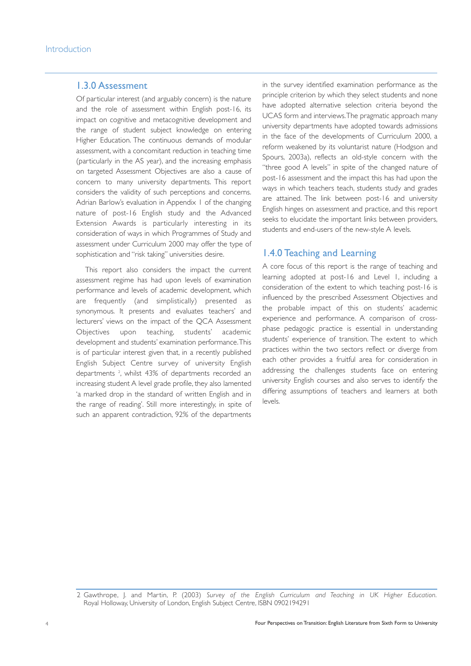#### 1.3.0 Assessment

Of particular interest (and arguably concern) is the nature and the role of assessment within English post-16, its impact on cognitive and metacognitive development and the range of student subject knowledge on entering Higher Education. The continuous demands of modular assessment, with a concomitant reduction in teaching time (particularly in the AS year), and the increasing emphasis on targeted Assessment Objectives are also a cause of concern to many university departments. This report considers the validity of such perceptions and concerns. Adrian Barlow's evaluation in Appendix 1 of the changing nature of post-16 English study and the Advanced Extension Awards is particularly interesting in its consideration of ways in which Programmes of Study and assessment under Curriculum 2000 may offer the type of sophistication and "risk taking" universities desire.

This report also considers the impact the current assessment regime has had upon levels of examination performance and levels of academic development, which are frequently (and simplistically) presented as synonymous. It presents and evaluates teachers' and lecturers' views on the impact of the QCA Assessment Objectives upon teaching, students' academic development and students' examination performance.This is of particular interest given that, in a recently published English Subject Centre survey of university English departments 2 , whilst 43% of departments recorded an increasing student A level grade profile, they also lamented 'a marked drop in the standard of written English and in the range of reading'. Still more interestingly, in spite of such an apparent contradiction, 92% of the departments

in the survey identified examination performance as the principle criterion by which they select students and none have adopted alternative selection criteria beyond the UCAS form and interviews.The pragmatic approach many university departments have adopted towards admissions in the face of the developments of Curriculum 2000, a reform weakened by its voluntarist nature (Hodgson and Spours, 2003a), reflects an old-style concern with the "three good A levels" in spite of the changed nature of post-16 assessment and the impact this has had upon the ways in which teachers teach, students study and grades are attained. The link between post-16 and university English hinges on assessment and practice, and this report seeks to elucidate the important links between providers, students and end-users of the new-style A levels.

#### 1.4.0 Teaching and Learning

A core focus of this report is the range of teaching and learning adopted at post-16 and Level 1, including a consideration of the extent to which teaching post-16 is influenced by the prescribed Assessment Objectives and the probable impact of this on students' academic experience and performance. A comparison of crossphase pedagogic practice is essential in understanding students' experience of transition. The extent to which practices within the two sectors reflect or diverge from each other provides a fruitful area for consideration in addressing the challenges students face on entering university English courses and also serves to identify the differing assumptions of teachers and learners at both levels.

<sup>2</sup> Gawthrope, J. and Martin, P. (2003) *Survey of the English Curriculum and Teaching in UK Higher Education*. Royal Holloway, University of London, English Subject Centre, ISBN 0902194291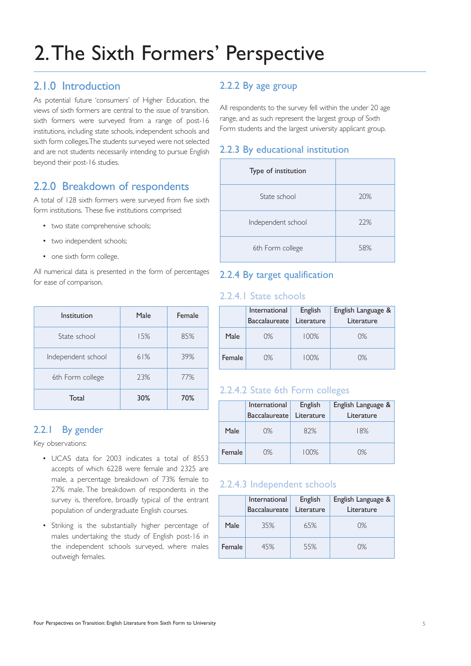# 2.The Sixth Formers' Perspective

## 2.1.0 Introduction

As potential future 'consumers' of Higher Education, the views of sixth formers are central to the issue of transition. sixth formers were surveyed from a range of post-16 institutions, including state schools, independent schools and sixth form colleges.The students surveyed were not selected and are not students necessarily intending to pursue English beyond their post-16 studies.

## 2.2.0 Breakdown of respondents

A total of 128 sixth formers were surveyed from five sixth form institutions. These five institutions comprised:

- two state comprehensive schools;
- two independent schools;
- one sixth form college.

All numerical data is presented in the form of percentages for ease of comparison.

| Institution        | Male | Female |
|--------------------|------|--------|
| State school       | 15%  | 85%    |
| Independent school | 61%  | 39%    |
| 6th Form college   | 23%  | 77%    |
| Total              | 30%  | 70%    |

## 2.2.1 By gender

Key observations:

- UCAS data for 2003 indicates a total of 8553 accepts of which 6228 were female and 2325 are male, a percentage breakdown of 73% female to 27% male. The breakdown of respondents in the survey is, therefore, broadly typical of the entrant population of undergraduate English courses.
- Striking is the substantially higher percentage of males undertaking the study of English post-16 in the independent schools surveyed, where males outweigh females.

## 2.2.2 By age group

All respondents to the survey fell within the under 20 age range, and as such represent the largest group of Sixth Form students and the largest university applicant group.

#### 2.2.3 By educational institution

| Type of institution |     |
|---------------------|-----|
| State school        | 20% |
| Independent school  | 22% |
| 6th Form college    | 58% |

### 2.2.4 By target qualification

#### 2.2.4.1 State schools

|        | English<br>International<br>Literature<br><b>Baccalaureate</b> |      | English Language &<br>Literature |
|--------|----------------------------------------------------------------|------|----------------------------------|
| Male   | 0%                                                             | 100% | 0%                               |
| Female | 0%                                                             | 100% | 0%                               |

#### 2.2.4.2 State 6th Form colleges

|               | International<br>Baccalaureate | English<br>Literature | English Language &<br>Literature |
|---------------|--------------------------------|-----------------------|----------------------------------|
| Male          | 0%                             | 82%                   | 18%                              |
| <b>Female</b> | 0%                             | $100\%$               | 0%                               |

#### 2.2.4.3 Independent schools

|        | International<br><b>Baccalaureate</b> | English<br>Literature | English Language &<br>Literature |
|--------|---------------------------------------|-----------------------|----------------------------------|
| Male   | 35%                                   | 65%                   | 0%                               |
| Female | 45%                                   | 55%                   | 0%                               |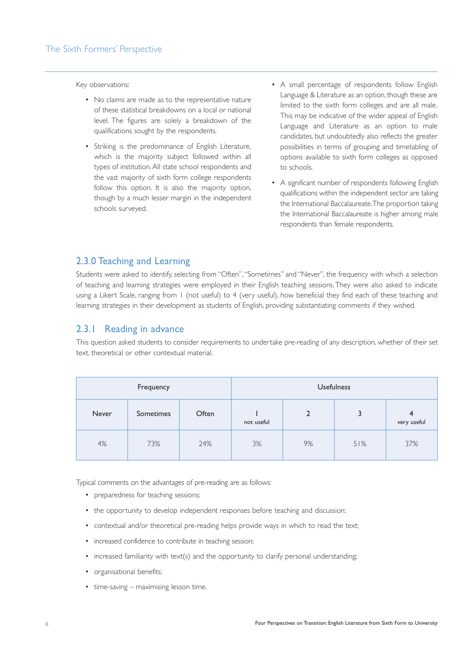Key observations:

- No claims are made as to the representative nature of these statistical breakdowns on a local or national level. The figures are solely a breakdown of the qualifications sought by the respondents.
- Striking is the predominance of English Literature, which is the majority subject followed within all types of institution. All state school respondents and the vast majority of sixth form college respondents follow this option. It is also the majority option, though by a much lesser margin in the independent schools surveyed.
- A small percentage of respondents follow English Language & Literature as an option, though these are limited to the sixth form colleges and are all male. This may be indicative of the wider appeal of English Language and Literature as an option to male candidates, but undoubtedly also reflects the greater possibilities in terms of grouping and timetabling of options available to sixth form colleges as opposed to schools.
- A significant number of respondents following English qualifications within the independent sector are taking the International Baccalaureate.The proportion taking the International Baccalaureate is higher among male respondents than female respondents.

#### 2.3.0 Teaching and Learning

Students were asked to identify, selecting from "Often","Sometimes" and "Never", the frequency with which a selection of teaching and learning strategies were employed in their English teaching sessions. They were also asked to indicate using a Likert Scale, ranging from 1 (not useful) to 4 (very useful), how beneficial they find each of these teaching and learning strategies in their development as students of English, providing substantiating comments if they wished.

#### 2.3.1 Reading in advance

This question asked students to consider requirements to undertake pre-reading of any description, whether of their set text, theoretical or other contextual material.

| Frequency |           |       |            |              | <b>Usefulness</b> |                               |
|-----------|-----------|-------|------------|--------------|-------------------|-------------------------------|
| Never     | Sometimes | Often | not useful | $\mathbf{c}$ | 3                 | $\overline{4}$<br>very useful |
| 4%        | 73%       | 24%   | 3%         | 9%           | 51%               | 37%                           |

Typical comments on the advantages of pre-reading are as follows:

- preparedness for teaching sessions;
- the opportunity to develop independent responses before teaching and discussion;
- contextual and/or theoretical pre-reading helps provide ways in which to read the text;
- increased confidence to contribute in teaching session;
- increased familiarity with text(s) and the opportunity to clarify personal understanding;
- organisational benefits;
- time-saving maximising lesson time.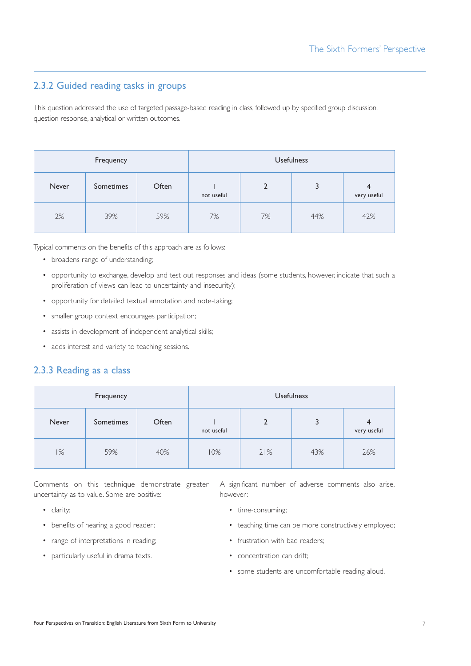## 2.3.2 Guided reading tasks in groups

This question addressed the use of targeted passage-based reading in class, followed up by specified group discussion, question response, analytical or written outcomes.

| Frequency |           |       |            |    | <b>Usefulness</b> |                  |
|-----------|-----------|-------|------------|----|-------------------|------------------|
| Never     | Sometimes | Often | not useful |    | 3                 | 4<br>very useful |
| 2%        | 39%       | 59%   | 7%         | 7% | 44%               | 42%              |

Typical comments on the benefits of this approach are as follows:

- broadens range of understanding;
- opportunity to exchange, develop and test out responses and ideas (some students, however, indicate that such a proliferation of views can lead to uncertainty and insecurity);
- opportunity for detailed textual annotation and note-taking;
- smaller group context encourages participation;
- assists in development of independent analytical skills;
- adds interest and variety to teaching sessions.

#### 2.3.3 Reading as a class

| Frequency |           |       |            |     | <b>Usefulness</b> |                  |
|-----------|-----------|-------|------------|-----|-------------------|------------------|
| Never     | Sometimes | Often | not useful |     | 3                 | 4<br>very useful |
| 1%        | 59%       | 40%   | 10%        | 21% | 43%               | 26%              |

Comments on this technique demonstrate greater uncertainty as to value. Some are positive:

A significant number of adverse comments also arise, however:

- clarity;
- benefits of hearing a good reader;
- range of interpretations in reading;
- particularly useful in drama texts.
- 
- time-consuming;
- teaching time can be more constructively employed;
- frustration with bad readers;
- concentration can drift;
- some students are uncomfortable reading aloud.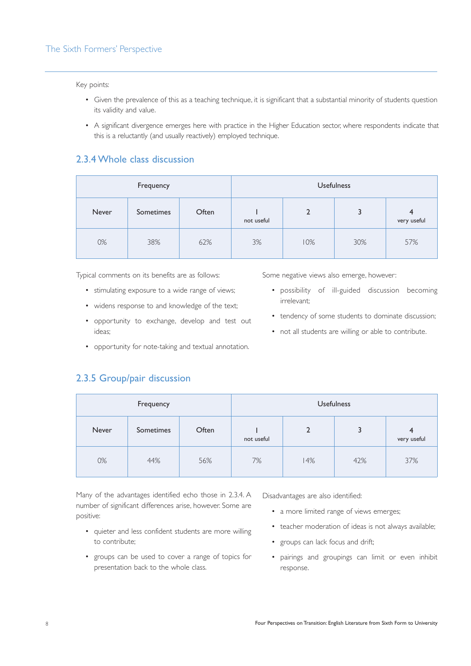#### Key points:

- Given the prevalence of this as a teaching technique, it is significant that a substantial minority of students question its validity and value.
- A significant divergence emerges here with practice in the Higher Education sector, where respondents indicate that this is a reluctantly (and usually reactively) employed technique.

#### 2.3.4 Whole class discussion

| Frequency |           |       |            |     | <b>Usefulness</b> |                  |
|-----------|-----------|-------|------------|-----|-------------------|------------------|
| Never     | Sometimes | Often | not useful |     |                   | 4<br>very useful |
| 0%        | 38%       | 62%   | 3%         | 10% | 30%               | 57%              |

Typical comments on its benefits are as follows:

- stimulating exposure to a wide range of views;
- widens response to and knowledge of the text;
- opportunity to exchange, develop and test out ideas;
- opportunity for note-taking and textual annotation.

irrelevant;

Some negative views also emerge, however:

• tendency of some students to dominate discussion;

• possibility of ill-guided discussion becoming

• not all students are willing or able to contribute.

## 2.3.5 Group/pair discussion

| Frequency |           |       |            |     | <b>Usefulness</b> |                                        |
|-----------|-----------|-------|------------|-----|-------------------|----------------------------------------|
| Never     | Sometimes | Often | not useful |     |                   | $\overline{\mathbf{r}}$<br>very useful |
| 0%        | 44%       | 56%   | 7%         | 14% | 42%               | 37%                                    |

Many of the advantages identified echo those in 2.3.4. A number of significant differences arise, however. Some are positive:

- quieter and less confident students are more willing to contribute;
- groups can be used to cover a range of topics for presentation back to the whole class.

Disadvantages are also identified:

- a more limited range of views emerges;
- teacher moderation of ideas is not always available;
- groups can lack focus and drift;
- pairings and groupings can limit or even inhibit response.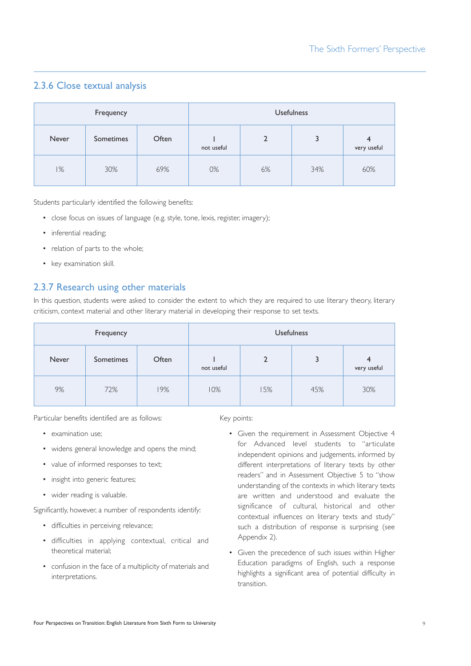## 2.3.6 Close textual analysis

| Frequency |           |       |            |    | <b>Usefulness</b> |                               |
|-----------|-----------|-------|------------|----|-------------------|-------------------------------|
| Never     | Sometimes | Often | not useful | 2  | J                 | $\overline{4}$<br>very useful |
| 1%        | 30%       | 69%   | 0%         | 6% | 34%               | 60%                           |

Students particularly identified the following benefits:

- close focus on issues of language (e.g. style, tone, lexis, register, imagery);
- inferential reading:
- relation of parts to the whole;
- key examination skill.

### 2.3.7 Research using other materials

In this question, students were asked to consider the extent to which they are required to use literary theory, literary criticism, context material and other literary material in developing their response to set texts.

| Frequency |           |       | <b>Usefulness</b> |     |     |                 |
|-----------|-----------|-------|-------------------|-----|-----|-----------------|
| Never     | Sometimes | Often | not useful        |     | 3   | $4$ very useful |
| 9%        | 72%       | 19%   | 10%               | 15% | 45% | 30%             |

Particular benefits identified are as follows:

- examination use:
- widens general knowledge and opens the mind;
- value of informed responses to text;
- insight into generic features;
- wider reading is valuable.

Significantly, however, a number of respondents identify:

- difficulties in perceiving relevance;
- difficulties in applying contextual, critical and theoretical material;
- confusion in the face of a multiplicity of materials and interpretations.

Key points:

- Given the requirement in Assessment Objective 4 for Advanced level students to "articulate independent opinions and judgements, informed by different interpretations of literary texts by other readers" and in Assessment Objective 5 to "show understanding of the contexts in which literary texts are written and understood and evaluate the significance of cultural, historical and other contextual influences on literary texts and study" such a distribution of response is surprising (see Appendix 2).
- Given the precedence of such issues within Higher Education paradigms of English, such a response highlights a significant area of potential difficulty in transition.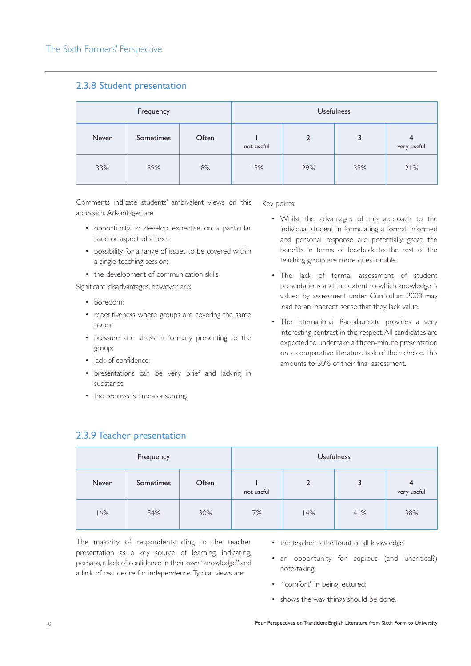#### 2.3.8 Student presentation

| Frequency |           |       |            |     | <b>Usefulness</b> |     |
|-----------|-----------|-------|------------|-----|-------------------|-----|
| Never     | Sometimes | Often | not useful |     | 4<br>very useful  |     |
| 33%       | 59%       | 8%    | 15%        | 29% | 35%               | 21% |

Comments indicate students' ambivalent views on this approach. Advantages are:

- opportunity to develop expertise on a particular issue or aspect of a text;
- possibility for a range of issues to be covered within a single teaching session;
- the development of communication skills.

Significant disadvantages, however, are:

- boredom;
- repetitiveness where groups are covering the same issues;
- pressure and stress in formally presenting to the group;
- lack of confidence;
- presentations can be very brief and lacking in substance;
- the process is time-consuming.

Key points:

- Whilst the advantages of this approach to the individual student in formulating a formal, informed and personal response are potentially great, the benefits in terms of feedback to the rest of the teaching group are more questionable.
- The lack of formal assessment of student presentations and the extent to which knowledge is valued by assessment under Curriculum 2000 may lead to an inherent sense that they lack value.
- The International Baccalaureate provides a very interesting contrast in this respect.All candidates are expected to undertake a fifteen-minute presentation on a comparative literature task of their choice.This amounts to 30% of their final assessment.

| Frequency |           |       | <b>Usefulness</b> |     |     |                               |
|-----------|-----------|-------|-------------------|-----|-----|-------------------------------|
| Never     | Sometimes | Often | 3<br>not useful   |     |     | $\overline{4}$<br>very useful |
| 16%       | 54%       | 30%   | 7%                | 14% | 41% | 38%                           |

2.3.9 Teacher presentation

The majority of respondents cling to the teacher presentation as a key source of learning, indicating, perhaps, a lack of confidence in their own "knowledge" and a lack of real desire for independence.Typical views are:

- the teacher is the fount of all knowledge;
- an opportunity for copious (and uncritical?) note-taking;
- "comfort" in being lectured;
- shows the way things should be done.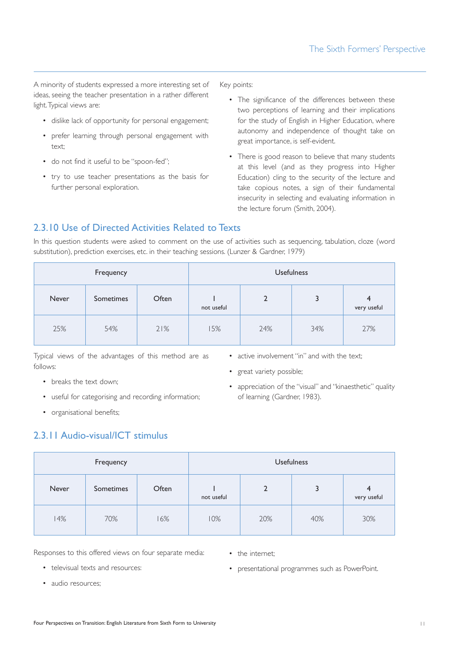A minority of students expressed a more interesting set of ideas, seeing the teacher presentation in a rather different light.Typical views are:

- dislike lack of opportunity for personal engagement;
- prefer learning through personal engagement with text;
- do not find it useful to be "spoon-fed";
- try to use teacher presentations as the basis for further personal exploration.

Key points:

- The significance of the differences between these two perceptions of learning and their implications for the study of English in Higher Education, where autonomy and independence of thought take on great importance, is self-evident.
- There is good reason to believe that many students at this level (and as they progress into Higher Education) cling to the security of the lecture and take copious notes, a sign of their fundamental insecurity in selecting and evaluating information in the lecture forum (Smith, 2004).

## 2.3.10 Use of Directed Activities Related to Texts

In this question students were asked to comment on the use of activities such as sequencing, tabulation, cloze (word substitution), prediction exercises, etc. in their teaching sessions. (Lunzer & Gardner, 1979)

| Frequency |           |       |                                 |     | <b>Usefulness</b> |     |
|-----------|-----------|-------|---------------------------------|-----|-------------------|-----|
| Never     | Sometimes | Often | 3<br>$\mathbf{2}$<br>not useful |     | 4<br>very useful  |     |
| 25%       | 54%       | 21%   | 15%                             | 24% | 34%               | 27% |

Typical views of the advantages of this method are as follows:

- breaks the text down;
- useful for categorising and recording information;
- organisational benefits;

## 2.3.11 Audio-visual/ICT stimulus

| Frequency |           |       |            | <b>Usefulness</b> |     |                  |
|-----------|-----------|-------|------------|-------------------|-----|------------------|
| Never     | Sometimes | Often | not useful | 2                 | 3   | 4<br>very useful |
| 14%       | 70%       | 16%   | 10%        | 20%               | 40% | 30%              |

Responses to this offered views on four separate media:

• the internet;

• televisual texts and resources:

• presentational programmes such as PowerPoint.

• active involvement "in" and with the text;

• appreciation of the "visual" and "kinaesthetic" quality

• great variety possible;

of learning (Gardner, 1983).

• audio resources;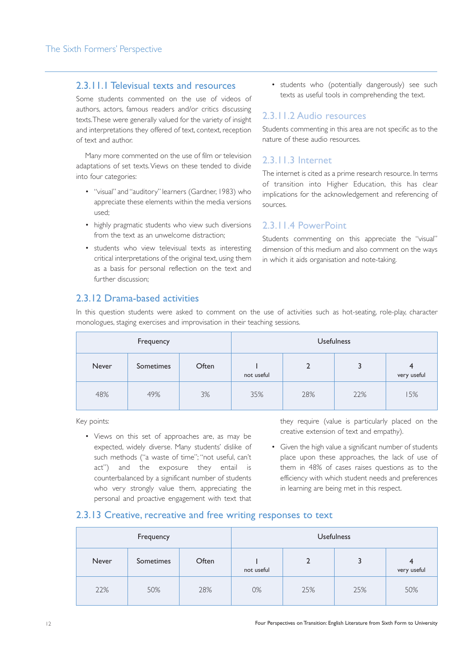#### 2.3.11.1 Televisual texts and resources

Some students commented on the use of videos of authors, actors, famous readers and/or critics discussing texts.These were generally valued for the variety of insight and interpretations they offered of text, context, reception of text and author.

Many more commented on the use of film or television adaptations of set texts.Views on these tended to divide into four categories:

- "visual" and "auditory" learners (Gardner, 1983) who appreciate these elements within the media versions used;
- highly pragmatic students who view such diversions from the text as an unwelcome distraction;
- students who view televisual texts as interesting critical interpretations of the original text, using them as a basis for personal reflection on the text and further discussion;

• students who (potentially dangerously) see such texts as useful tools in comprehending the text.

#### 2.3.11.2 Audio resources

Students commenting in this area are not specific as to the nature of these audio resources.

#### 2.3.11.3 Internet

The internet is cited as a prime research resource. In terms of transition into Higher Education, this has clear implications for the acknowledgement and referencing of sources.

#### 2.3.11.4 PowerPoint

Students commenting on this appreciate the "visual" dimension of this medium and also comment on the ways in which it aids organisation and note-taking.

#### 2.3.12 Drama-based activities

In this question students were asked to comment on the use of activities such as hot-seating, role-play, character monologues, staging exercises and improvisation in their teaching sessions.

| Frequency |           |       | <b>Usefulness</b> |     |     |                  |
|-----------|-----------|-------|-------------------|-----|-----|------------------|
| Never     | Sometimes | Often | not useful        |     |     | 4<br>very useful |
| 48%       | 49%       | 3%    | 35%               | 28% | 22% | 15%              |

Key points:

• Views on this set of approaches are, as may be expected, widely diverse. Many students' dislike of such methods ("a waste of time"; "not useful, can't act") and the exposure they entail is counterbalanced by a significant number of students who very strongly value them, appreciating the personal and proactive engagement with text that

they require (value is particularly placed on the creative extension of text and empathy).

• Given the high value a significant number of students place upon these approaches, the lack of use of them in 48% of cases raises questions as to the efficiency with which student needs and preferences in learning are being met in this respect.

#### 2.3.13 Creative, recreative and free writing responses to text

| Frequency    |           |       |            |     | <b>Usefulness</b> |                  |
|--------------|-----------|-------|------------|-----|-------------------|------------------|
| <b>Never</b> | Sometimes | Often | not useful |     |                   | 4<br>very useful |
| 22%          | 50%       | 28%   | 0%         | 25% | 25%               | 50%              |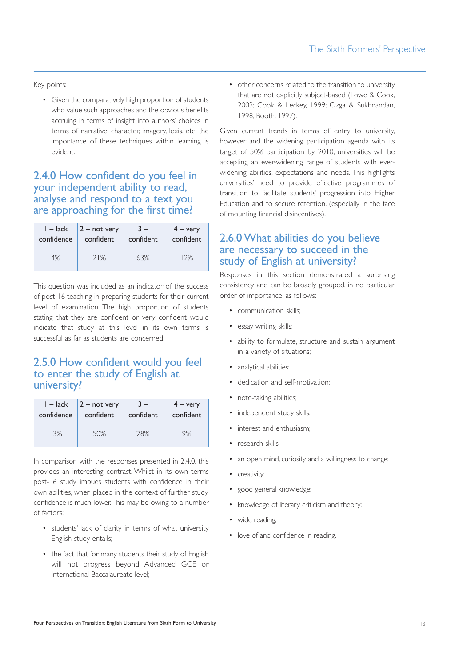Key points:

• Given the comparatively high proportion of students who value such approaches and the obvious benefits accruing in terms of insight into authors' choices in terms of narrative, character, imagery, lexis, etc. the importance of these techniques within learning is evident.

## 2.4.0 How confident do you feel in your independent ability to read, analyse and respond to a text you are approaching for the first time?

| $I -$ lack | $2 - not very$ | $3 -$     | $4 - \text{very}$ |
|------------|----------------|-----------|-------------------|
| confidence | confident      | confident | confident         |
| 4%         | 71%            | 63%       | 12%               |

This question was included as an indicator of the success of post-16 teaching in preparing students for their current level of examination. The high proportion of students stating that they are confident or very confident would indicate that study at this level in its own terms is successful as far as students are concerned.

## 2.5.0 How confident would you feel to enter the study of English at university?

| $1 -$ lack | $2 - not very$ | $3 -$     | $4 - \text{very}$ |
|------------|----------------|-----------|-------------------|
| confidence | confident      | confident | confident         |
| 13%        | 50%            | 28%       | 9%                |

In comparison with the responses presented in 2.4.0, this provides an interesting contrast. Whilst in its own terms post-16 study imbues students with confidence in their own abilities, when placed in the context of further study, confidence is much lower.This may be owing to a number of factors:

- students' lack of clarity in terms of what university English study entails;
- the fact that for many students their study of English will not progress beyond Advanced GCE or International Baccalaureate level;

• other concerns related to the transition to university that are not explicitly subject-based (Lowe & Cook, 2003; Cook & Leckey, 1999; Ozga & Sukhnandan, 1998; Booth, 1997).

Given current trends in terms of entry to university, however, and the widening participation agenda with its target of 50% participation by 2010, universities will be accepting an ever-widening range of students with everwidening abilities, expectations and needs. This highlights universities' need to provide effective programmes of transition to facilitate students' progression into Higher Education and to secure retention, (especially in the face of mounting financial disincentives).

## 2.6.0 What abilities do you believe are necessary to succeed in the study of English at university?

Responses in this section demonstrated a surprising consistency and can be broadly grouped, in no particular order of importance, as follows:

- communication skills;
- essay writing skills;
- ability to formulate, structure and sustain argument in a variety of situations;
- analytical abilities;
- dedication and self-motivation;
- note-taking abilities;
- independent study skills;
- interest and enthusiasm:
- research skills;
- an open mind, curiosity and a willingness to change;
- creativity;
- good general knowledge;
- knowledge of literary criticism and theory;
- wide reading;
- love of and confidence in reading.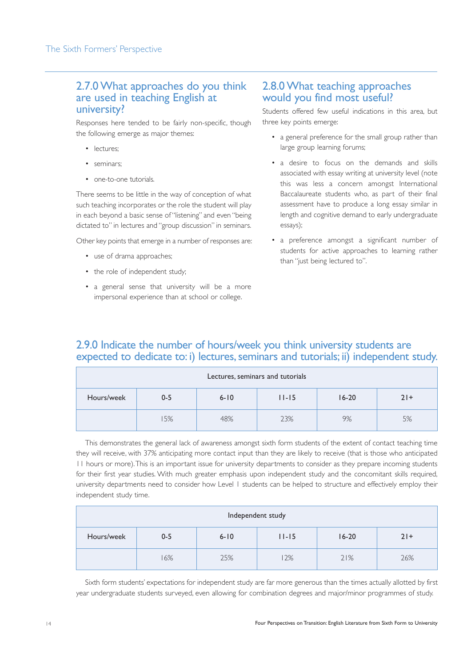#### 2.7.0 What approaches do you think are used in teaching English at university?

Responses here tended to be fairly non-specific, though the following emerge as major themes:

- lectures;
- seminars;
- one-to-one tutorials

There seems to be little in the way of conception of what such teaching incorporates or the role the student will play in each beyond a basic sense of "listening" and even "being dictated to" in lectures and "group discussion" in seminars.

Other key points that emerge in a number of responses are:

- use of drama approaches;
- the role of independent study;
- a general sense that university will be a more impersonal experience than at school or college.

### 2.8.0 What teaching approaches would you find most useful?

Students offered few useful indications in this area, but three key points emerge:

- a general preference for the small group rather than large group learning forums;
- a desire to focus on the demands and skills associated with essay writing at university level (note this was less a concern amongst International Baccalaureate students who, as part of their final assessment have to produce a long essay similar in length and cognitive demand to early undergraduate essays);
- a preference amongst a significant number of students for active approaches to learning rather than "just being lectured to".

## 2.9.0 Indicate the number of hours/week you think university students are expected to dedicate to: i) lectures, seminars and tutorials; ii) independent study.

| Lectures, seminars and tutorials |                                                        |     |     |    |    |  |  |
|----------------------------------|--------------------------------------------------------|-----|-----|----|----|--|--|
| Hours/week                       | $16 - 20$<br>$6 - 10$<br>$11 - 15$<br>$21+$<br>$0 - 5$ |     |     |    |    |  |  |
|                                  | 5%                                                     | 48% | 23% | 9% | 5% |  |  |

This demonstrates the general lack of awareness amongst sixth form students of the extent of contact teaching time they will receive, with 37% anticipating more contact input than they are likely to receive (that is those who anticipated 11 hours or more).This is an important issue for university departments to consider as they prepare incoming students for their first year studies. With much greater emphasis upon independent study and the concomitant skills required, university departments need to consider how Level 1 students can be helped to structure and effectively employ their independent study time.

| Independent study                                                    |    |     |    |     |     |  |  |
|----------------------------------------------------------------------|----|-----|----|-----|-----|--|--|
| Hours/week<br>$16 - 20$<br>$0 - 5$<br>$6 - 10$<br>$11 - 15$<br>$21+$ |    |     |    |     |     |  |  |
|                                                                      | 6% | 25% | 2% | 21% | 26% |  |  |

Sixth form students' expectations for independent study are far more generous than the times actually allotted by first year undergraduate students surveyed, even allowing for combination degrees and major/minor programmes of study.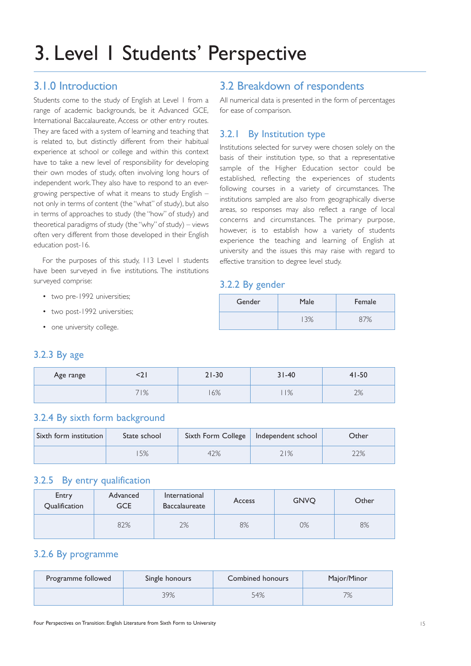# 3. Level 1 Students' Perspective

## 3.1.0 Introduction

Students come to the study of English at Level 1 from a range of academic backgrounds, be it Advanced GCE, International Baccalaureate, Access or other entry routes. They are faced with a system of learning and teaching that is related to, but distinctly different from their habitual experience at school or college and within this context have to take a new level of responsibility for developing their own modes of study, often involving long hours of independent work.They also have to respond to an evergrowing perspective of what it means to study English – not only in terms of content (the "what" of study), but also in terms of approaches to study (the "how" of study) and theoretical paradigms of study (the "why" of study) – views often very different from those developed in their English education post-16.

For the purposes of this study, 113 Level 1 students have been surveyed in five institutions. The institutions surveyed comprise:

- two pre-1992 universities;
- two post-1992 universities;
- one university college.

## 3.2 Breakdown of respondents

All numerical data is presented in the form of percentages for ease of comparison.

#### 3.2.1 By Institution type

Institutions selected for survey were chosen solely on the basis of their institution type, so that a representative sample of the Higher Education sector could be established, reflecting the experiences of students following courses in a variety of circumstances. The institutions sampled are also from geographically diverse areas, so responses may also reflect a range of local concerns and circumstances. The primary purpose, however, is to establish how a variety of students experience the teaching and learning of English at university and the issues this may raise with regard to effective transition to degree level study.

#### 3.2.2 By gender

| Gender | Male | Female |
|--------|------|--------|
|        |      |        |

#### 3.2.3 By age

| Age range | 74 L | $21 - 30$ |    | $41 - 50$  |  |
|-----------|------|-----------|----|------------|--|
|           | 71%  | 6%        | 1% | 70/<br>270 |  |

## 3.2.4 By sixth form background

| Sixth form institution | State school |  | Sixth Form College   Independent school | Other |  |
|------------------------|--------------|--|-----------------------------------------|-------|--|
|                        | 5%           |  | 21%                                     | 22%   |  |

#### 3.2.5 By entry qualification

| Entry<br>Qualification | Advanced<br><b>GCE</b> | International<br><b>Baccalaureate</b> | Access | <b>GNVO</b> | Other |
|------------------------|------------------------|---------------------------------------|--------|-------------|-------|
|                        | 82%                    | 2%                                    | 8%     | 0%          | 8%    |

#### 3.2.6 By programme

| Programme followed | Single honours |  | Major/Minor |  |
|--------------------|----------------|--|-------------|--|
|                    | 39%            |  | 7%          |  |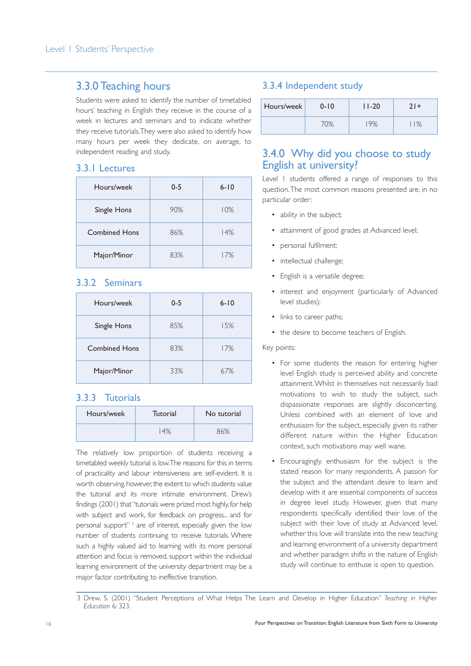## 3.3.0 Teaching hours

Students were asked to identify the number of timetabled hours' teaching in English they receive in the course of a week in lectures and seminars and to indicate whether they receive tutorials.They were also asked to identify how many hours per week they dedicate, on average, to independent reading and study.

#### 3.3.1 Lectures

| Hours/week           | $0 - 5$ | $6 - 10$ |
|----------------------|---------|----------|
| Single Hons          | 90%     | 10%      |
| <b>Combined Hons</b> | 86%     | 14%      |
| Major/Minor          | 83%     | 17%      |

#### 3.3.2 Seminars

| Hours/week           | $0 - 5$ | $6 - 10$ |
|----------------------|---------|----------|
| Single Hons          | 85%     | 15%      |
| <b>Combined Hons</b> | 83%     | 17%      |
| Major/Minor          | 33%     | 67%      |

#### 3.3.3 Tutorials

| Hours/week | Tutorial | No tutorial |  |
|------------|----------|-------------|--|
|            | 14%      | 86%         |  |

The relatively low proportion of students receiving a timetabled weekly tutorial is low.The reasons for this in terms of practicality and labour intensiveness are self-evident. It is worth observing, however, the extent to which students value the tutorial and its more intimate environment. Drew's findings (2001) that "tutorials were prized most highly, for help with subject and work, for feedback on progress... and for personal support"<sup>3</sup> are of interest, especially given the low number of students continuing to receive tutorials. Where such a highly valued aid to learning with its more personal attention and focus is removed, support within the individual learning environment of the university department may be a major factor contributing to ineffective transition.

#### 3.3.4 Independent study

| Hours/week | $0 - 10$       | $11 - 20$ | $21 +$ |  |
|------------|----------------|-----------|--------|--|
|            | $^{\prime}$ 0% | 19%       | $1\%$  |  |

## 3.4.0 Why did you choose to study English at university?

Level 1 students offered a range of responses to this question.The most common reasons presented are, in no particular order:

- ability in the subject;
- attainment of good grades at Advanced level;
- personal fulfilment;
- intellectual challenge;
- English is a versatile degree;
- interest and enjoyment (particularly of Advanced level studies);
- links to career paths;
- the desire to become teachers of English.

#### Key points:

- For some students the reason for entering higher level English study is perceived ability and concrete attainment.Whilst in themselves not necessarily bad motivations to wish to study the subject, such dispassionate responses are slightly disconcerting. Unless combined with an element of love and enthusiasm for the subject, especially given its rather different nature within the Higher Education context, such motivations may well wane.
- Encouragingly, enthusiasm for the subject is the stated reason for many respondents. A passion for the subject and the attendant desire to learn and develop with it are essential components of success in degree level study. However, given that many respondents specifically identified their love of the subject with their love of study at Advanced level, whether this love will translate into the new teaching and learning environment of a university department and whether paradigm shifts in the nature of English study will continue to enthuse is open to question.

<sup>3</sup> Drew, S. (2001) "Student Perceptions of What Helps The Learn and Develop in Higher Education" *Teaching in Higher Education* 6: 323.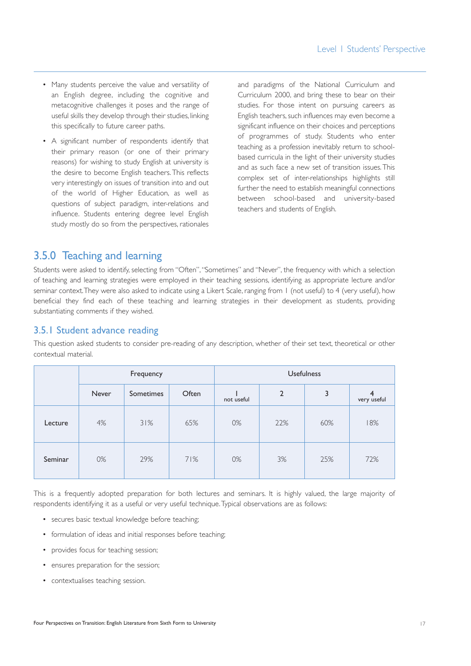- Many students perceive the value and versatility of an English degree, including the cognitive and metacognitive challenges it poses and the range of useful skills they develop through their studies, linking this specifically to future career paths.
- A significant number of respondents identify that their primary reason (or one of their primary reasons) for wishing to study English at university is the desire to become English teachers.This reflects very interestingly on issues of transition into and out of the world of Higher Education, as well as questions of subject paradigm, inter-relations and influence. Students entering degree level English study mostly do so from the perspectives, rationales

and paradigms of the National Curriculum and Curriculum 2000, and bring these to bear on their studies. For those intent on pursuing careers as English teachers, such influences may even become a significant influence on their choices and perceptions of programmes of study. Students who enter teaching as a profession inevitably return to schoolbased curricula in the light of their university studies and as such face a new set of transition issues.This complex set of inter-relationships highlights still further the need to establish meaningful connections between school-based and university-based teachers and students of English.

## 3.5.0 Teaching and learning

Students were asked to identify, selecting from "Often","Sometimes" and "Never", the frequency with which a selection of teaching and learning strategies were employed in their teaching sessions, identifying as appropriate lecture and/or seminar context.They were also asked to indicate using a Likert Scale, ranging from 1 (not useful) to 4 (very useful), how beneficial they find each of these teaching and learning strategies in their development as students, providing substantiating comments if they wished.

#### 3.5.1 Student advance reading

This question asked students to consider pre-reading of any description, whether of their set text, theoretical or other contextual material.

|         | Frequency    |                  |       | <b>Usefulness</b> |                |     |                  |
|---------|--------------|------------------|-------|-------------------|----------------|-----|------------------|
|         | <b>Never</b> | <b>Sometimes</b> | Often | not useful        | $\overline{2}$ | 3   | 4<br>very useful |
| Lecture | 4%           | 31%              | 65%   | 0%                | 22%            | 60% | 18%              |
| Seminar | 0%           | 29%              | 71%   | 0%                | 3%             | 25% | 72%              |

This is a frequently adopted preparation for both lectures and seminars. It is highly valued, the large majority of respondents identifying it as a useful or very useful technique.Typical observations are as follows:

- secures basic textual knowledge before teaching;
- formulation of ideas and initial responses before teaching;
- provides focus for teaching session;
- ensures preparation for the session;
- contextualises teaching session.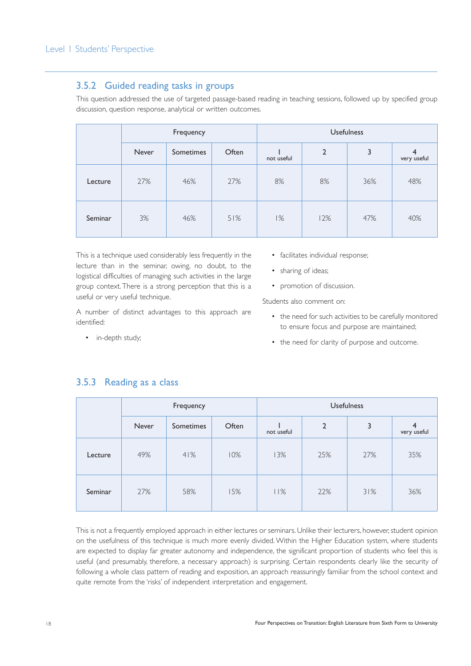#### 3.5.2 Guided reading tasks in groups

This question addressed the use of targeted passage-based reading in teaching sessions, followed up by specified group discussion, question response, analytical or written outcomes.

|         | Frequency    |                  |       | <b>Usefulness</b> |                |     |                               |
|---------|--------------|------------------|-------|-------------------|----------------|-----|-------------------------------|
|         | <b>Never</b> | <b>Sometimes</b> | Often | not useful        | $\overline{2}$ | 3   | $\overline{4}$<br>very useful |
| Lecture | 27%          | 46%              | 27%   | 8%                | 8%             | 36% | 48%                           |
| Seminar | 3%           | 46%              | 51%   | 1%                | 12%            | 47% | 40%                           |

This is a technique used considerably less frequently in the lecture than in the seminar, owing, no doubt, to the logistical difficulties of managing such activities in the large group context. There is a strong perception that this is a useful or very useful technique.

A number of distinct advantages to this approach are identified:

• in-depth study;

- facilitates individual response;
- sharing of ideas;
- promotion of discussion.

Students also comment on:

- the need for such activities to be carefully monitored to ensure focus and purpose are maintained;
- the need for clarity of purpose and outcome.

|         | Frequency |           |       | <b>Usefulness</b> |                |     |                  |
|---------|-----------|-----------|-------|-------------------|----------------|-----|------------------|
|         | Never     | Sometimes | Often | not useful        | $\overline{2}$ | 3   | 4<br>very useful |
| Lecture | 49%       | 41%       | 10%   | 13%               | 25%            | 27% | 35%              |
| Seminar | 27%       | 58%       | 15%   | 11%               | 22%            | 31% | 36%              |

#### 3.5.3 Reading as a class

This is not a frequently employed approach in either lectures or seminars. Unlike their lecturers, however, student opinion on the usefulness of this technique is much more evenly divided. Within the Higher Education system, where students are expected to display far greater autonomy and independence, the significant proportion of students who feel this is useful (and presumably, therefore, a necessary approach) is surprising. Certain respondents clearly like the security of following a whole class pattern of reading and exposition, an approach reassuringly familiar from the school context and quite remote from the 'risks' of independent interpretation and engagement.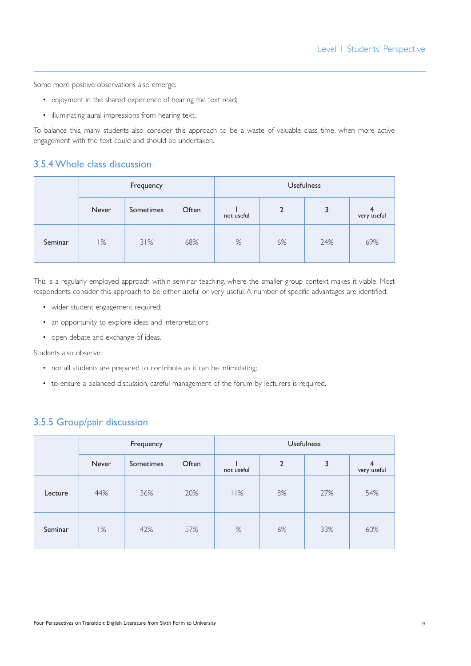Some more positive observations also emerge:

- enjoyment in the shared experience of hearing the text read;
- illuminating aural impressions from hearing text.

To balance this, many students also consider this approach to be a waste of valuable class time, when more active engagement with the text could and should be undertaken.

#### 3.5.4 Whole class discussion

|         | Frequency |           |       |            | <b>Usefulness</b> |     |                  |  |
|---------|-----------|-----------|-------|------------|-------------------|-----|------------------|--|
|         | Never     | Sometimes | Often | not useful | 2                 | 3   | 4<br>very useful |  |
| Seminar | 1%        | 31%       | 68%   | 1%         | 6%                | 24% | 69%              |  |

This is a regularly employed approach within seminar teaching, where the smaller group context makes it viable. Most respondents consider this approach to be either useful or very useful. A number of specific advantages are identified:

- wider student engagement required;
- an opportunity to explore ideas and interpretations;
- open debate and exchange of ideas.

Students also observe:

- not all students are prepared to contribute as it can be intimidating;
- to ensure a balanced discussion, careful management of the forum by lecturers is required.

#### 3.5.5 Group/pair discussion

|         | Frequency    |           |       | <b>Usefulness</b> |                |     |                               |
|---------|--------------|-----------|-------|-------------------|----------------|-----|-------------------------------|
|         | <b>Never</b> | Sometimes | Often | not useful        | $\overline{2}$ | 3   | $\overline{4}$<br>very useful |
| Lecture | 44%          | 36%       | 20%   | 11%               | 8%             | 27% | 54%                           |
| Seminar | 1%           | 42%       | 57%   | 1%                | 6%             | 33% | 60%                           |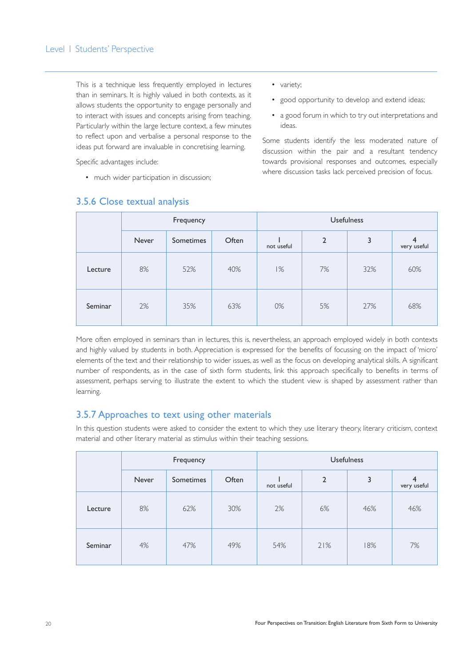This is a technique less frequently employed in lectures than in seminars. It is highly valued in both contexts, as it allows students the opportunity to engage personally and to interact with issues and concepts arising from teaching. Particularly within the large lecture context, a few minutes to reflect upon and verbalise a personal response to the ideas put forward are invaluable in concretising learning.

Specific advantages include:

• much wider participation in discussion;

- variety;
- good opportunity to develop and extend ideas;
- a good forum in which to try out interpretations and ideas.

Some students identify the less moderated nature of discussion within the pair and a resultant tendency towards provisional responses and outcomes, especially where discussion tasks lack perceived precision of focus.

|         | Frequency                          |     |            | <b>Usefulness</b> |    |                  |     |
|---------|------------------------------------|-----|------------|-------------------|----|------------------|-----|
|         | Often<br>Never<br><b>Sometimes</b> |     | not useful | $\overline{2}$    | 3  | 4<br>very useful |     |
| Lecture | 8%                                 | 52% | 40%        | 1%                | 7% | 32%              | 60% |
| Seminar | 2%                                 | 35% | 63%        | 0%                | 5% | 27%              | 68% |

## 3.5.6 Close textual analysis

More often employed in seminars than in lectures, this is, nevertheless, an approach employed widely in both contexts and highly valued by students in both. Appreciation is expressed for the benefits of focussing on the impact of 'micro' elements of the text and their relationship to wider issues, as well as the focus on developing analytical skills. A significant number of respondents, as in the case of sixth form students, link this approach specifically to benefits in terms of assessment, perhaps serving to illustrate the extent to which the student view is shaped by assessment rather than learning.

#### 3.5.7 Approaches to text using other materials

In this question students were asked to consider the extent to which they use literary theory, literary criticism, context material and other literary material as stimulus within their teaching sessions.

|         | Frequency                          |     |            | <b>Usefulness</b> |     |                  |     |
|---------|------------------------------------|-----|------------|-------------------|-----|------------------|-----|
|         | Often<br>Never<br><b>Sometimes</b> |     | not useful | $\overline{2}$    | 3   | 4<br>very useful |     |
| Lecture | 8%                                 | 62% | 30%        | 2%                | 6%  | 46%              | 46% |
| Seminar | 4%                                 | 47% | 49%        | 54%               | 21% | 18%              | 7%  |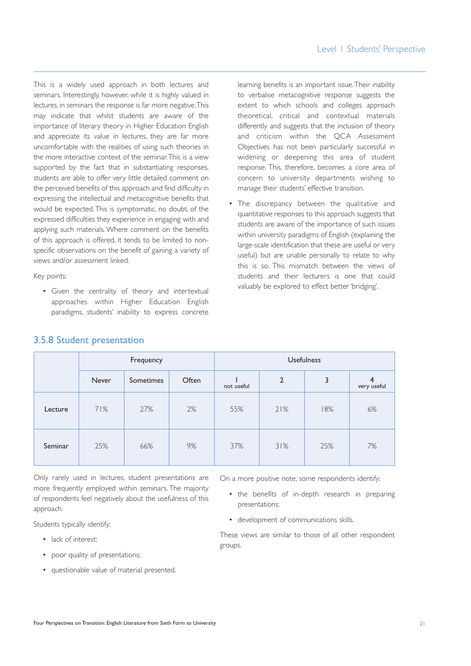This is a widely used approach in both lectures and seminars. Interestingly, however, while it is highly valued in lectures, in seminars the response is far more negative.This may indicate that whilst students are aware of the importance of literary theory in Higher Education English and appreciate its value in lectures, they are far more uncomfortable with the realities of using such theories in the more interactive context of the seminar.This is a view supported by the fact that in substantiating responses, students are able to offer very little detailed comment on the perceived benefits of this approach and find difficulty in expressing the intellectual and metacognitive benefits that would be expected.This is symptomatic, no doubt, of the expressed difficulties they experience in engaging with and applying such materials. Where comment on the benefits of this approach is offered, it tends to be limited to nonspecific observations on the benefit of gaining a variety of views and/or assessment linked.

Key points:

• Given the centrality of theory and intertextual approaches within Higher Education English paradigms, students' inability to express concrete learning benefits is an important issue.Their inability to verbalise metacognitive response suggests the extent to which schools and colleges approach theoretical, critical and contextual materials differently and suggests that the inclusion of theory and criticism within the QCA Assessment Objectives has not been particularly successful in widening or deepening this area of student response. This, therefore, becomes a core area of concern to university departments wishing to manage their students' effective transition.

• The discrepancy between the qualitative and quantitative responses to this approach suggests that students are aware of the importance of such issues within university paradigms of English (explaining the large-scale identification that these are useful or very useful) but are unable personally to relate to why this is so. This mismatch between the views of students and their lecturers is one that could valuably be explored to effect better 'bridging'.

|         | Frequency |           |       | <b>Usefulness</b> |                |     |                               |
|---------|-----------|-----------|-------|-------------------|----------------|-----|-------------------------------|
|         | Never     | Sometimes | Often | not useful        | $\overline{2}$ | 3   | $\overline{4}$<br>very useful |
| Lecture | 71%       | 27%       | 2%    | 55%               | 21%            | 18% | 6%                            |
| Seminar | 25%       | 66%       | 9%    | 37%               | 31%            | 25% | 7%                            |

#### 3.5.8 Student presentation

Only rarely used in lectures, student presentations are more frequently employed within seminars. The majority of respondents feel negatively about the usefulness of this approach.

Students typically identify:

- lack of interest;
- poor quality of presentations;
- questionable value of material presented.

On a more positive note, some respondents identify:

- the benefits of in-depth research in preparing presentations;
- development of communications skills.

These views are similar to those of all other respondent groups.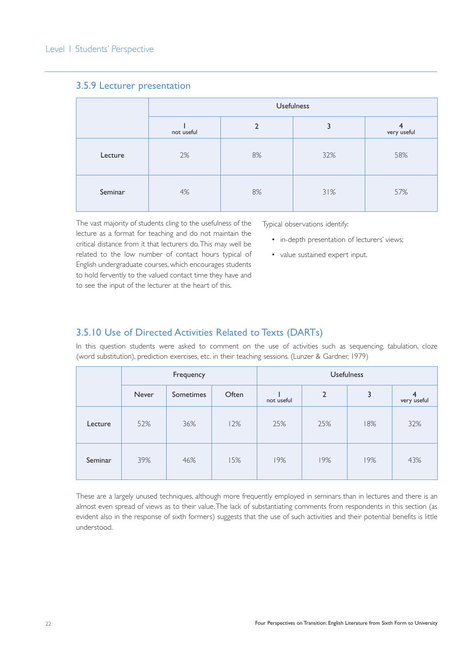|         | <b>Usefulness</b> |               |     |             |  |  |  |  |
|---------|-------------------|---------------|-----|-------------|--|--|--|--|
|         | not useful        | $\mathcal{P}$ |     | very useful |  |  |  |  |
| Lecture | 2%                | 8%            | 32% | 58%         |  |  |  |  |
| Seminar | 4%                | 8%            | 31% | 57%         |  |  |  |  |

#### 3.5.9 Lecturer presentation

The vast majority of students cling to the usefulness of the lecture as a format for teaching and do not maintain the critical distance from it that lecturers do.This may well be related to the low number of contact hours typical of English undergraduate courses, which encourages students to hold fervently to the valued contact time they have and to see the input of the lecturer at the heart of this.

Typical observations identify:

- in-depth presentation of lecturers' views;
- value sustained expert input.

#### 3.5.10 Use of Directed Activities Related to Texts (DARTs)

In this question students were asked to comment on the use of activities such as sequencing, tabulation, cloze (word substitution), prediction exercises, etc. in their teaching sessions. (Lunzer & Gardner, 1979)

|         | Frequency          |     |       | <b>Usefulness</b> |                |     |                  |
|---------|--------------------|-----|-------|-------------------|----------------|-----|------------------|
|         | Never<br>Sometimes |     | Often | not useful        | $\overline{2}$ | 3   | 4<br>very useful |
| Lecture | 52%                | 36% | 12%   | 25%               | 25%            | 18% | 32%              |
| Seminar | 39%                | 46% | 15%   | 19%               | 19%            | 19% | 43%              |

These are a largely unused techniques, although more frequently employed in seminars than in lectures and there is an almost even spread of views as to their value.The lack of substantiating comments from respondents in this section (as evident also in the response of sixth formers) suggests that the use of such activities and their potential benefits is little understood.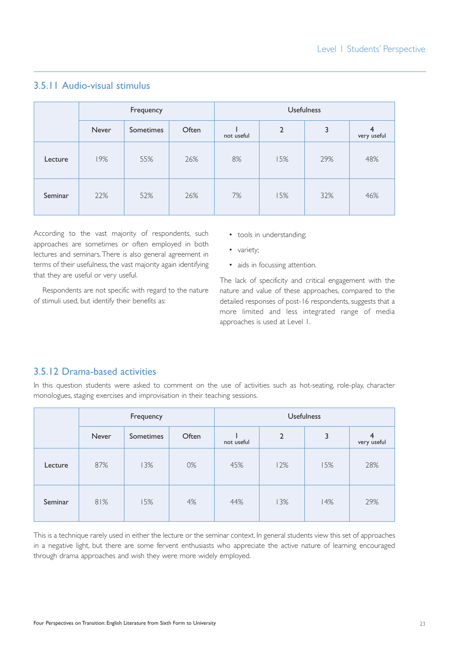|         | Frequency |           |       | <b>Usefulness</b> |                |     |                               |
|---------|-----------|-----------|-------|-------------------|----------------|-----|-------------------------------|
|         | Never     | Sometimes | Often | not useful        | $\overline{2}$ | 3   | $\overline{4}$<br>very useful |
| Lecture | 19%       | 55%       | 26%   | 8%                | 15%            | 29% | 48%                           |
| Seminar | 22%       | 52%       | 26%   | 7%                | 15%            | 32% | 46%                           |

## 3.5.11 Audio-visual stimulus

According to the vast majority of respondents, such approaches are sometimes or often employed in both lectures and seminars.There is also general agreement in terms of their usefulness, the vast majority again identifying that they are useful or very useful.

Respondents are not specific with regard to the nature of stimuli used, but identify their benefits as:

- tools in understanding;
- variety;
- aids in focussing attention.

The lack of specificity and critical engagement with the nature and value of these approaches, compared to the detailed responses of post-16 respondents, suggests that a more limited and less integrated range of media approaches is used at Level 1.

#### 3.5.12 Drama-based activities

In this question students were asked to comment on the use of activities such as hot-seating, role-play, character monologues, staging exercises and improvisation in their teaching sessions.

|         | Frequency |           |       | <b>Usefulness</b> |                |     |                  |
|---------|-----------|-----------|-------|-------------------|----------------|-----|------------------|
|         | Never     | Sometimes | Often | not useful        | $\overline{2}$ | 3   | 4<br>very useful |
| Lecture | 87%       | 13%       | 0%    | 45%               | 12%            | 15% | 28%              |
| Seminar | 81%       | 15%       | 4%    | 44%               | 13%            | 14% | 29%              |

This is a technique rarely used in either the lecture or the seminar context. In general students view this set of approaches in a negative light, but there are some fervent enthusiasts who appreciate the active nature of learning encouraged through drama approaches and wish they were more widely employed.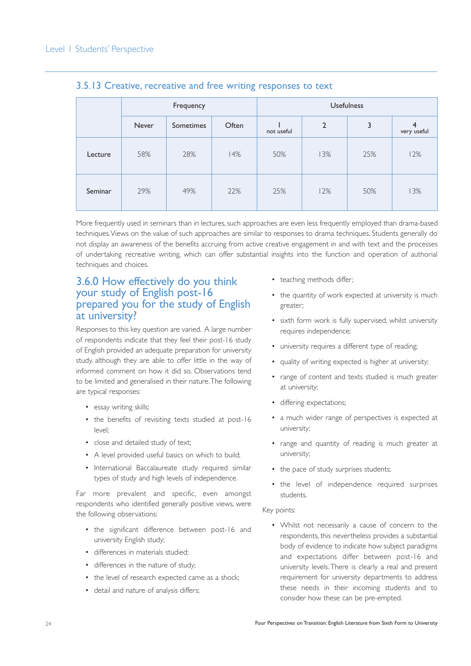|         | Frequency |                           |     | <b>Usefulness</b> |                |     |                  |
|---------|-----------|---------------------------|-----|-------------------|----------------|-----|------------------|
|         | Never     | Often<br><b>Sometimes</b> |     | not useful        | $\overline{2}$ | 3   | 4<br>very useful |
| Lecture | 58%       | 28%                       | 14% | 50%               | 13%            | 25% | 12%              |
| Seminar | 29%       | 49%                       | 22% | 25%               | 12%            | 50% | 13%              |

#### 3.5.13 Creative, recreative and free writing responses to text

More frequently used in seminars than in lectures, such approaches are even less frequently employed than drama-based techniques.Views on the value of such approaches are similar to responses to drama techniques. Students generally do not display an awareness of the benefits accruing from active creative engagement in and with text and the processes of undertaking recreative writing, which can offer substantial insights into the function and operation of authorial techniques and choices.

## 3.6.0 How effectively do you think your study of English post-16 prepared you for the study of English at university?

Responses to this key question are varied. A large number of respondents indicate that they feel their post-16 study of English provided an adequate preparation for university study, although they are able to offer little in the way of informed comment on how it did so. Observations tend to be limited and generalised in their nature.The following are typical responses:

- essay writing skills;
- the benefits of revisiting texts studied at post-16  $|P| \leq |P|$
- close and detailed study of text;
- A level provided useful basics on which to build;
- International Baccalaureate study required similar types of study and high levels of independence.

Far more prevalent and specific, even amongst respondents who identified generally positive views, were the following observations:

- the significant difference between post-16 and university English study;
- differences in materials studied;
- differences in the nature of study;
- the level of research expected came as a shock:
- detail and nature of analysis differs;
- teaching methods differ;
- the quantity of work expected at university is much greater;
- sixth form work is fully supervised, whilst university requires independence;
- university requires a different type of reading;
- quality of writing expected is higher at university;
- range of content and texts studied is much greater at university;
- differing expectations;
- a much wider range of perspectives is expected at university;
- range and quantity of reading is much greater at university;
- the pace of study surprises students;
- the level of independence required surprises students.

#### Key points:

• Whilst not necessarily a cause of concern to the respondents, this nevertheless provides a substantial body of evidence to indicate how subject paradigms and expectations differ between post-16 and university levels. There is clearly a real and present requirement for university departments to address these needs in their incoming students and to consider how these can be pre-empted.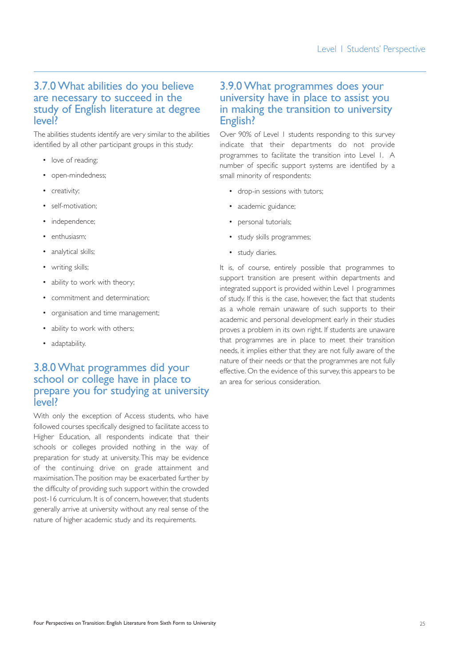### 3.7.0 What abilities do you believe are necessary to succeed in the study of English literature at degree level?

The abilities students identify are very similar to the abilities identified by all other participant groups in this study:

- love of reading;
- open-mindedness;
- creativity;
- self-motivation;
- independence;
- enthusiasm;
- analytical skills;
- writing skills;
- ability to work with theory;
- commitment and determination;
- organisation and time management;
- ability to work with others;
- adaptability.

## 3.8.0 What programmes did your school or college have in place to prepare you for studying at university level?

With only the exception of Access students, who have followed courses specifically designed to facilitate access to Higher Education, all respondents indicate that their schools or colleges provided nothing in the way of preparation for study at university. This may be evidence of the continuing drive on grade attainment and maximisation.The position may be exacerbated further by the difficulty of providing such support within the crowded post-16 curriculum. It is of concern, however, that students generally arrive at university without any real sense of the nature of higher academic study and its requirements.

## 3.9.0 What programmes does your university have in place to assist you in making the transition to university English?

Over 90% of Level 1 students responding to this survey indicate that their departments do not provide programmes to facilitate the transition into Level 1. A number of specific support systems are identified by a small minority of respondents:

- drop-in sessions with tutors;
- academic guidance;
- personal tutorials;
- study skills programmes;
- study diaries.

It is, of course, entirely possible that programmes to support transition are present within departments and integrated support is provided within Level 1 programmes of study. If this is the case, however, the fact that students as a whole remain unaware of such supports to their academic and personal development early in their studies proves a problem in its own right. If students are unaware that programmes are in place to meet their transition needs, it implies either that they are not fully aware of the nature of their needs or that the programmes are not fully effective. On the evidence of this survey, this appears to be an area for serious consideration.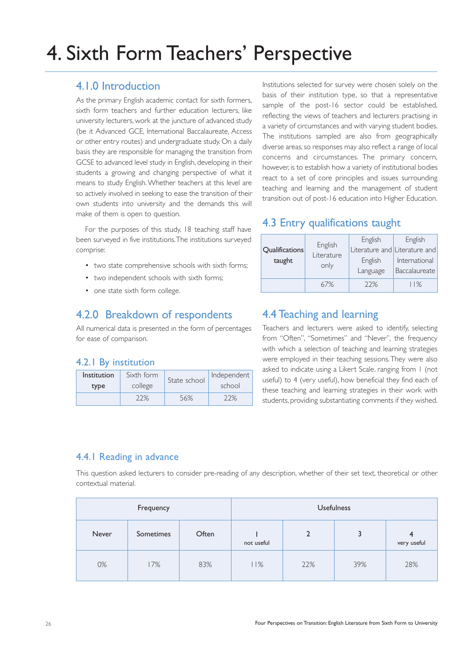# 4. Sixth Form Teachers' Perspective

## 4.1.0 Introduction

As the primary English academic contact for sixth formers, sixth form teachers and further education lecturers, like university lecturers, work at the juncture of advanced study (be it Advanced GCE, International Baccalaureate, Access or other entry routes) and undergraduate study. On a daily basis they are responsible for managing the transition from GCSE to advanced level study in English, developing in their students a growing and changing perspective of what it means to study English. Whether teachers at this level are so actively involved in seeking to ease the transition of their own students into university and the demands this will make of them is open to question.

For the purposes of this study, 18 teaching staff have been surveyed in five institutions.The institutions surveyed comprise:

- two state comprehensive schools with sixth forms;
- two independent schools with sixth forms;
- one state sixth form college.

## 4.2.0 Breakdown of respondents

All numerical data is presented in the form of percentages for ease of comparison.

#### 4.2.1 By institution

| Institution | Sixth form | State school | Independent |  |
|-------------|------------|--------------|-------------|--|
| type        | college    |              | school      |  |
|             | 196        | 56%          | 70/         |  |

Institutions selected for survey were chosen solely on the basis of their institution type, so that a representative sample of the post-16 sector could be established, reflecting the views of teachers and lecturers practising in a variety of circumstances and with varying student bodies. The institutions sampled are also from geographically diverse areas, so responses may also reflect a range of local concerns and circumstances. The primary concern, however, is to establish how a variety of institutional bodies react to a set of core principles and issues surrounding teaching and learning and the management of student transition out of post-16 education into Higher Education.

## 4.3 Entry qualifications taught

| <b>Qualifications</b><br>taught | English<br>Literature<br>only | English<br>Literature and Literature and<br>English<br>Language | English<br>International<br>Baccalaureate |
|---------------------------------|-------------------------------|-----------------------------------------------------------------|-------------------------------------------|
|                                 | 67%                           | 22%                                                             | $11\%$                                    |

## 4.4 Teaching and learning

Teachers and lecturers were asked to identify, selecting from "Often", "Sometimes" and "Never", the frequency with which a selection of teaching and learning strategies were employed in their teaching sessions.They were also asked to indicate using a Likert Scale, ranging from 1 (not useful) to 4 (very useful), how beneficial they find each of these teaching and learning strategies in their work with students, providing substantiating comments if they wished.

#### 4.4.1 Reading in advance

This question asked lecturers to consider pre-reading of any description, whether of their set text, theoretical or other contextual material.

| Frequency |           |       | <b>Usefulness</b> |     |     |                       |  |
|-----------|-----------|-------|-------------------|-----|-----|-----------------------|--|
| Never     | Sometimes | Often | not useful        |     | 3   | ◢<br>┱<br>very useful |  |
| 0%        | 17%       | 83%   | 11%               | 22% | 39% | 28%                   |  |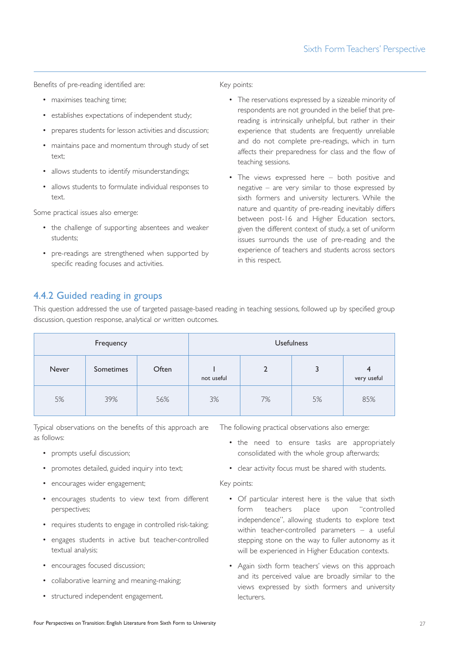Benefits of pre-reading identified are:

- maximises teaching time;
- establishes expectations of independent study;
- prepares students for lesson activities and discussion;
- maintains pace and momentum through study of set text;
- allows students to identify misunderstandings;
- allows students to formulate individual responses to text.

Some practical issues also emerge:

- the challenge of supporting absentees and weaker students;
- pre-readings are strengthened when supported by specific reading focuses and activities.

Key points:

- The reservations expressed by a sizeable minority of respondents are not grounded in the belief that prereading is intrinsically unhelpful, but rather in their experience that students are frequently unreliable and do not complete pre-readings, which in turn affects their preparedness for class and the flow of teaching sessions.
- The views expressed here both positive and negative – are very similar to those expressed by sixth formers and university lecturers. While the nature and quantity of pre-reading inevitably differs between post-16 and Higher Education sectors, given the different context of study, a set of uniform issues surrounds the use of pre-reading and the experience of teachers and students across sectors in this respect.

### 4.4.2 Guided reading in groups

This question addressed the use of targeted passage-based reading in teaching sessions, followed up by specified group discussion, question response, analytical or written outcomes.

| Frequency |           |       |            |    | <b>Usefulness</b> |                               |
|-----------|-----------|-------|------------|----|-------------------|-------------------------------|
| Never     | Sometimes | Often | not useful |    | 3                 | $\overline{4}$<br>very useful |
| 5%        | 39%       | 56%   | 3%         | 7% | 5%                | 85%                           |

Typical observations on the benefits of this approach are as follows:

- prompts useful discussion;
- promotes detailed, guided inquiry into text;
- encourages wider engagement;
- encourages students to view text from different perspectives;
- requires students to engage in controlled risk-taking;
- engages students in active but teacher-controlled textual analysis;
- encourages focused discussion;
- collaborative learning and meaning-making;
- structured independent engagement.

The following practical observations also emerge:

- the need to ensure tasks are appropriately consolidated with the whole group afterwards;
- clear activity focus must be shared with students.

Key points:

- Of particular interest here is the value that sixth form teachers place upon "controlled independence", allowing students to explore text within teacher-controlled parameters – a useful stepping stone on the way to fuller autonomy as it will be experienced in Higher Education contexts.
- Again sixth form teachers' views on this approach and its perceived value are broadly similar to the views expressed by sixth formers and university lecturers.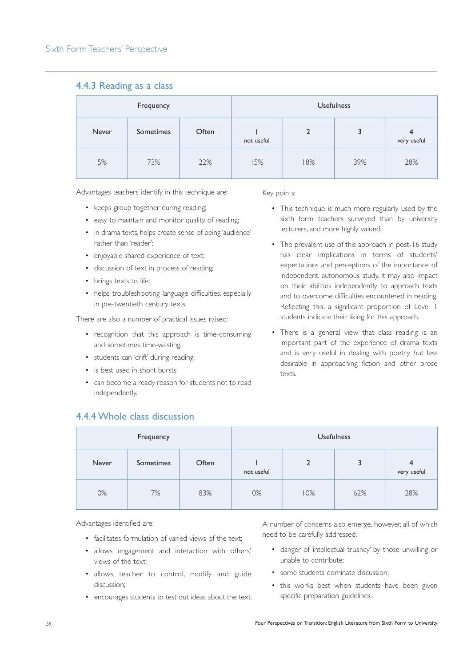#### 4.4.3 Reading as a class

| Frequency |           |       |            |                | <b>Usefulness</b> |                  |
|-----------|-----------|-------|------------|----------------|-------------------|------------------|
| Never     | Sometimes | Often | not useful | $\overline{2}$ | 3                 | 4<br>very useful |
| 5%        | 73%       | 22%   | 15%        | 18%            | 39%               | 28%              |

Advantages teachers identify in this technique are:

- keeps group together during reading;
- easy to maintain and monitor quality of reading;
- in drama texts, helps create sense of being 'audience' rather than 'reader';
- enjoyable shared experience of text;
- discussion of text in process of reading;
- brings texts to life;
- helps troubleshooting language difficulties, especially in pre-twentieth century texts.

There are also a number of practical issues raised:

- recognition that this approach is time-consuming and sometimes time-wasting;
- students can 'drift' during reading;
- is best used in short bursts:

4.4.4 Whole class discussion

• can become a ready reason for students not to read independently.

#### Key points:

- This technique is much more regularly used by the sixth form teachers surveyed than by university lecturers, and more highly valued.
- The prevalent use of this approach in post-16 study has clear implications in terms of students' expectations and perceptions of the importance of independent, autonomous study. It may also impact on their abilities independently to approach texts and to overcome difficulties encountered in reading. Reflecting this, a significant proportion of Level 1 students indicate their liking for this approach.
- There is a general view that class reading is an important part of the experience of drama texts and is very useful in dealing with poetry, but less desirable in approaching fiction and other prose texts.

| Frequency |           |       |            |     | <b>Usefulness</b> |                               |  |  |
|-----------|-----------|-------|------------|-----|-------------------|-------------------------------|--|--|
| Never     | Sometimes | Often | not useful | 2   | 3                 | $\overline{4}$<br>very useful |  |  |
| 0%        | 17%       | 83%   | 0%         | 10% | 62%               | 28%                           |  |  |

Advantages identified are:

- facilitates formulation of varied views of the text;
- allows engagement and interaction with others' views of the text;
- allows teacher to control, modify and guide discussion;
- encourages students to test out ideas about the text.

A number of concerns also emerge, however, all of which need to be carefully addressed:

- danger of 'intellectual truancy' by those unwilling or unable to contribute;
- some students dominate discussion;
- this works best when students have been given specific preparation guidelines.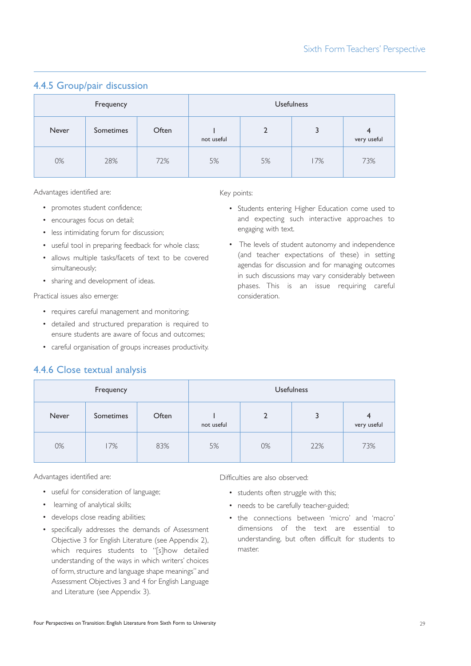## Frequency **Example 2018 Usefulness** Never Sometimes Often I not useful 2 3 4 very useful 0% 28% 72% 5% 5% 17% 73%

## 4.4.5 Group/pair discussion

Advantages identified are:

- promotes student confidence;
- encourages focus on detail;
- less intimidating forum for discussion;
- useful tool in preparing feedback for whole class;
- allows multiple tasks/facets of text to be covered simultaneously;
- sharing and development of ideas.

Practical issues also emerge:

- requires careful management and monitoring;
- detailed and structured preparation is required to ensure students are aware of focus and outcomes;
- careful organisation of groups increases productivity.

## 4.4.6 Close textual analysis

| Frequency |       |                  |       |            | <b>Usefulness</b> |     |                               |
|-----------|-------|------------------|-------|------------|-------------------|-----|-------------------------------|
|           | Never | <b>Sometimes</b> | Often | not useful | $\overline{2}$    | 3   | $\overline{4}$<br>very useful |
|           | 0%    | 17%              | 83%   | 5%         | 0%                | 22% | 73%                           |

Advantages identified are:

- useful for consideration of language;
- learning of analytical skills;
- develops close reading abilities;
- specifically addresses the demands of Assessment Objective 3 for English Literature (see Appendix 2), which requires students to "[s]how detailed understanding of the ways in which writers' choices of form, structure and language shape meanings" and Assessment Objectives 3 and 4 for English Language and Literature (see Appendix 3).

Difficulties are also observed:

- students often struggle with this;
- needs to be carefully teacher-guided;
- the connections between 'micro' and 'macro' dimensions of the text are essential to understanding, but often difficult for students to master.

#### Key points:

- Students entering Higher Education come used to and expecting such interactive approaches to engaging with text.
- The levels of student autonomy and independence (and teacher expectations of these) in setting agendas for discussion and for managing outcomes in such discussions may vary considerably between phases. This is an issue requiring careful consideration.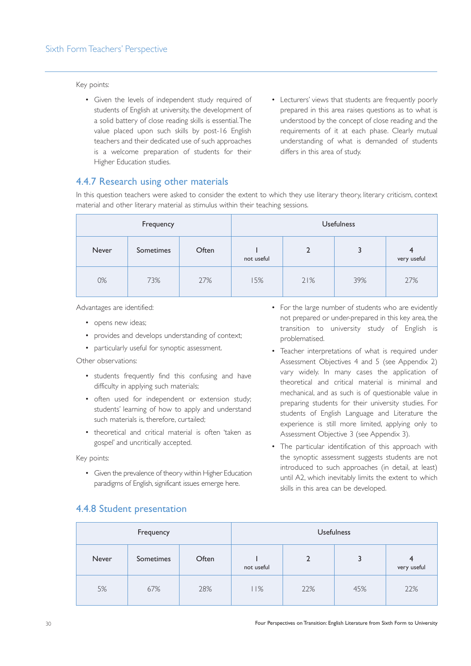#### Key points:

- Given the levels of independent study required of students of English at university, the development of a solid battery of close reading skills is essential.The value placed upon such skills by post-16 English teachers and their dedicated use of such approaches is a welcome preparation of students for their Higher Education studies.
- Lecturers' views that students are frequently poorly prepared in this area raises questions as to what is understood by the concept of close reading and the requirements of it at each phase. Clearly mutual understanding of what is demanded of students differs in this area of study.

#### 4.4.7 Research using other materials

In this question teachers were asked to consider the extent to which they use literary theory, literary criticism, context material and other literary material as stimulus within their teaching sessions.

| Frequency |           |       |            |                | <b>Usefulness</b> |                  |  |  |
|-----------|-----------|-------|------------|----------------|-------------------|------------------|--|--|
| Never     | Sometimes | Often | not useful | $\overline{2}$ | 3                 | 4<br>very useful |  |  |
| 0%        | 73%       | 27%   | 15%        | 21%            | 39%               | 27%              |  |  |

Advantages are identified:

- opens new ideas;
- provides and develops understanding of context;
- particularly useful for synoptic assessment.

Other observations:

- students frequently find this confusing and have difficulty in applying such materials;
- often used for independent or extension study; students' learning of how to apply and understand such materials is, therefore, curtailed;
- theoretical and critical material is often 'taken as gospel' and uncritically accepted.

Key points:

• Given the prevalence of theory within Higher Education paradigms of English, significant issues emerge here.

- For the large number of students who are evidently not prepared or under-prepared in this key area, the transition to university study of English is problematised.
- Teacher interpretations of what is required under Assessment Objectives 4 and 5 (see Appendix 2) vary widely. In many cases the application of theoretical and critical material is minimal and mechanical, and as such is of questionable value in preparing students for their university studies. For students of English Language and Literature the experience is still more limited, applying only to Assessment Objective 3 (see Appendix 3).
- The particular identification of this approach with the synoptic assessment suggests students are not introduced to such approaches (in detail, at least) until A2, which inevitably limits the extent to which skills in this area can be developed.

| Frequency |           |       |            |     | <b>Usefulness</b> |                  |  |  |
|-----------|-----------|-------|------------|-----|-------------------|------------------|--|--|
| Never     | Sometimes | Often | not useful |     | 3                 | 4<br>very useful |  |  |
| 5%        | 67%       | 28%   | 11%        | 22% | 45%               | 22%              |  |  |

### 4.4.8 Student presentation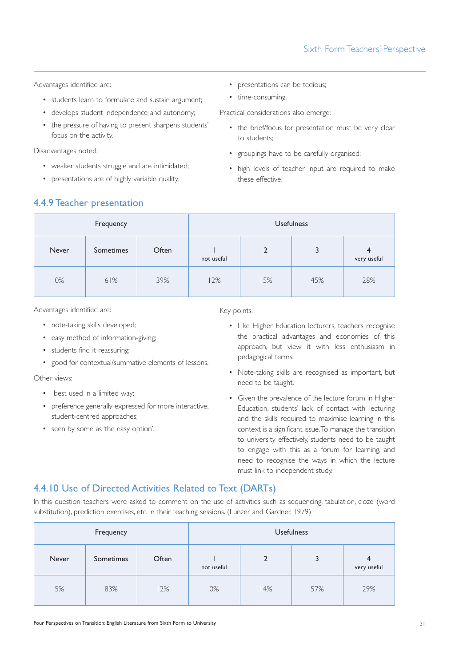Advantages identified are:

- students learn to formulate and sustain argument;
- develops student independence and autonomy;
- the pressure of having to present sharpens students' focus on the activity.

Disadvantages noted:

- weaker students struggle and are intimidated;
- presentations are of highly variable quality;
- presentations can be tedious;
- time-consuming.

Practical considerations also emerge:

- the brief/focus for presentation must be very clear to students;
- groupings have to be carefully organised;
- high levels of teacher input are required to make these effective.

| 4.4.9 Teacher presentation |  |
|----------------------------|--|
|----------------------------|--|

| Frequency |           |       |            |     | <b>Usefulness</b> |                  |
|-----------|-----------|-------|------------|-----|-------------------|------------------|
| Never     | Sometimes | Often | not useful |     | 3                 | 4<br>very useful |
| 0%        | 61%       | 39%   | 12%        | 15% | 45%               | 28%              |

Advantages identified are:

- note-taking skills developed;
- easy method of information-giving;
- students find it reassuring;
- good for contextual/summative elements of lessons.

Other views:

- best used in a limited way;
- preference generally expressed for more interactive, student-centred approaches;
- seen by some as 'the easy option'.

Key points:

- Like Higher Education lecturers, teachers recognise the practical advantages and economies of this approach, but view it with less enthusiasm in pedagogical terms.
- Note-taking skills are recognised as important, but need to be taught.
- Given the prevalence of the lecture forum in Higher Education, students' lack of contact with lecturing and the skills required to maximise learning in this context is a significant issue.To manage the transition to university effectively, students need to be taught to engage with this as a forum for learning, and need to recognise the ways in which the lecture must link to independent study.

#### 4.4.10 Use of Directed Activities Related to Text (DARTs)

In this question teachers were asked to comment on the use of activities such as sequencing, tabulation, cloze (word substitution), prediction exercises, etc. in their teaching sessions. (Lunzer and Gardner, 1979)

| Frequency |           |       |            |     | <b>Usefulness</b> |                  |  |  |
|-----------|-----------|-------|------------|-----|-------------------|------------------|--|--|
| Never     | Sometimes | Often | not useful |     |                   | 4<br>very useful |  |  |
| 5%        | 83%       | 12%   | 0%         | 14% | 57%               | 29%              |  |  |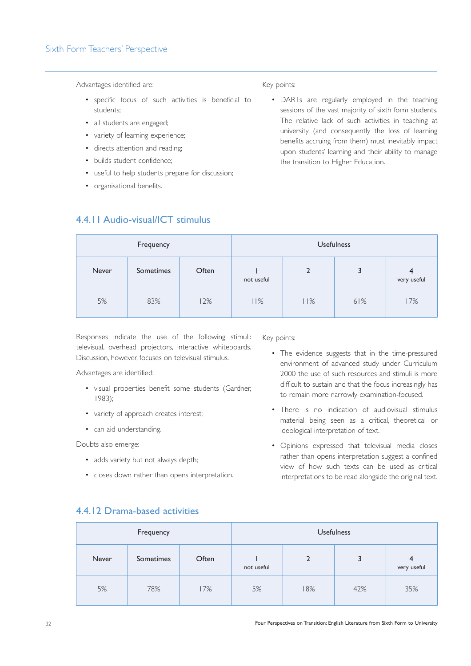#### Sixth Form Teachers' Perspective

Advantages identified are:

- specific focus of such activities is beneficial to students;
- all students are engaged;
- variety of learning experience;
- directs attention and reading;

4.4.11 Audio-visual/ICT stimulus

- builds student confidence;
- useful to help students prepare for discussion;
- organisational benefits.

#### Key points:

• DARTs are regularly employed in the teaching sessions of the vast majority of sixth form students. The relative lack of such activities in teaching at university (and consequently the loss of learning benefits accruing from them) must inevitably impact upon students' learning and their ability to manage the transition to Higher Education.

| Frequency |           |       |            | <b>Usefulness</b> |     |                  |  |
|-----------|-----------|-------|------------|-------------------|-----|------------------|--|
| Never     | Sometimes | Often | not useful |                   | 3   | 4<br>very useful |  |
| 5%        | 83%       | 12%   | 11%        | 11%               | 61% | 17%              |  |

Responses indicate the use of the following stimuli: televisual, overhead projectors, interactive whiteboards. Discussion, however, focuses on televisual stimulus.

Advantages are identified:

- visual properties benefit some students (Gardner, 1983);
- variety of approach creates interest;
- can aid understanding.

Doubts also emerge:

- adds variety but not always depth;
- closes down rather than opens interpretation.

Key points:

- The evidence suggests that in the time-pressured environment of advanced study under Curriculum 2000 the use of such resources and stimuli is more difficult to sustain and that the focus increasingly has to remain more narrowly examination-focused.
- There is no indication of audiovisual stimulus material being seen as a critical, theoretical or ideological interpretation of text.
- Opinions expressed that televisual media closes rather than opens interpretation suggest a confined view of how such texts can be used as critical interpretations to be read alongside the original text.

### 4.4.12 Drama-based activities

| Frequency |           |       |            | <b>Usefulness</b> |     |                               |  |
|-----------|-----------|-------|------------|-------------------|-----|-------------------------------|--|
| Never     | Sometimes | Often | not useful |                   | 3   | $\overline{A}$<br>very useful |  |
| 5%        | 78%       | 17%   | 5%         | 18%               | 42% | 35%                           |  |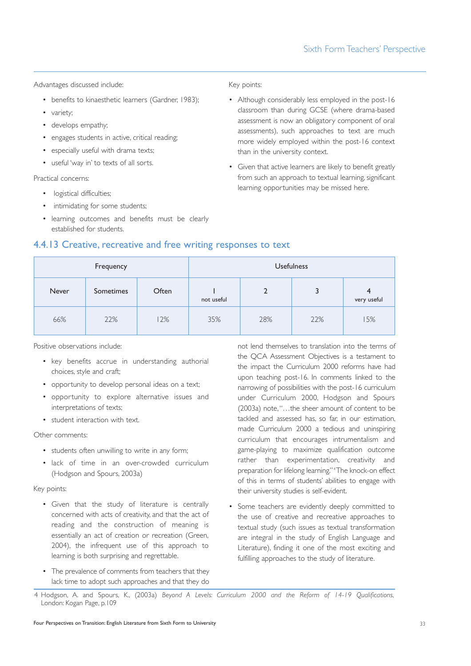Advantages discussed include:

- benefits to kinaesthetic learners (Gardner, 1983);
- variety;
- develops empathy;
- engages students in active, critical reading:
- especially useful with drama texts;
- useful 'way in' to texts of all sorts.

Practical concerns:

- logistical difficulties;
- intimidating for some students;
- learning outcomes and benefits must be clearly established for students.

#### Key points:

- Although considerably less employed in the post-16 classroom than during GCSE (where drama-based assessment is now an obligatory component of oral assessments), such approaches to text are much more widely employed within the post-16 context than in the university context.
- Given that active learners are likely to benefit greatly from such an approach to textual learning, significant learning opportunities may be missed here.

| Frequency |           |       | <b>Usefulness</b> |     |     |                  |
|-----------|-----------|-------|-------------------|-----|-----|------------------|
| Never     | Sometimes | Often | not useful        | 2   | 3   | 4<br>very useful |
| 66%       | 22%       | 12%   | 35%               | 28% | 22% | 15%              |

4.4.13 Creative, recreative and free writing responses to text

Positive observations include:

- key benefits accrue in understanding authorial choices, style and craft;
- opportunity to develop personal ideas on a text;
- opportunity to explore alternative issues and interpretations of texts;
- student interaction with text.

Other comments:

- students often unwilling to write in any form;
- lack of time in an over-crowded curriculum (Hodgson and Spours, 2003a)

#### Key points:

- Given that the study of literature is centrally concerned with acts of creativity, and that the act of reading and the construction of meaning is essentially an act of creation or recreation (Green, 2004), the infrequent use of this approach to learning is both surprising and regrettable.
- The prevalence of comments from teachers that they lack time to adopt such approaches and that they do

not lend themselves to translation into the terms of the QCA Assessment Objectives is a testament to the impact the Curriculum 2000 reforms have had upon teaching post-16. In comments linked to the narrowing of possibilities with the post-16 curriculum under Curriculum 2000, Hodgson and Spours (2003a) note,"…the sheer amount of content to be tackled and assessed has, so far, in our estimation, made Curriculum 2000 a tedious and uninspiring curriculum that encourages intrumentalism and game-playing to maximize qualification outcome rather than experimentation, creativity and preparation for lifelong learning." <sup>4</sup> The knock-on effect of this in terms of students' abilities to engage with their university studies is self-evident.

• Some teachers are evidently deeply committed to the use of creative and recreative approaches to textual study (such issues as textual transformation are integral in the study of English Language and Literature), finding it one of the most exciting and fulfilling approaches to the study of literature.

<sup>4</sup> Hodgson, A. and Spours, K., (2003a) *Beyond A Levels: Curriculum 2000 and the Reform of 14-19 Qualifications*, London: Kogan Page, p.109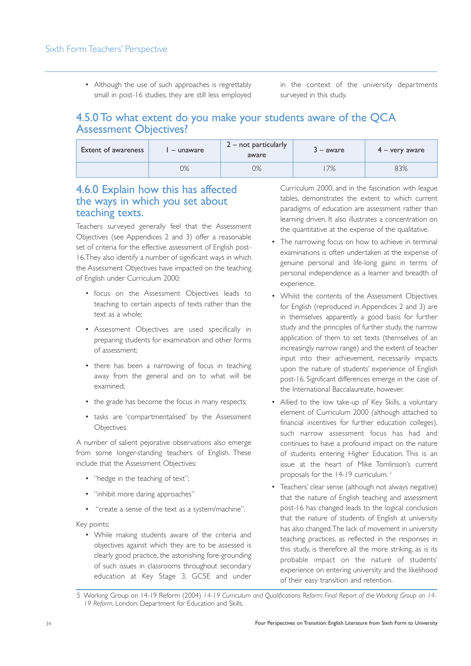• Although the use of such approaches is regrettably small in post-16 studies, they are still less employed

in the context of the university departments surveyed in this study.

## 4.5.0 To what extent do you make your students aware of the QCA Assessment Objectives?

| <b>Extent of awareness</b> | – unaware | $2 - not$ particularly<br>aware | $3 - aware$ | $4 -$ very aware |
|----------------------------|-----------|---------------------------------|-------------|------------------|
|                            | 0%        | )%                              | 7%          | 83%              |

### 4.6.0 Explain how this has affected the ways in which you set about teaching texts.

Teachers surveyed generally feel that the Assessment Objectives (see Appendices 2 and 3) offer a reasonable set of criteria for the effective assessment of English post-16.They also identify a number of significant ways in which the Assessment Objectives have impacted on the teaching of English under Curriculum 2000:

- focus on the Assessment Objectives leads to teaching to certain aspects of texts rather than the text as a whole;
- Assessment Objectives are used specifically in preparing students for examination and other forms of assessment;
- there has been a narrowing of focus in teaching away from the general and on to what will be examined;
- the grade has become the focus in many respects;
- tasks are 'compartmentalised' by the Assessment Objectives.

A number of salient pejorative observations also emerge from some longer-standing teachers of English. These include that the Assessment Objectives:

- "hedge in the teaching of text";
- "inhibit more daring approaches"
- "create a sense of the text as a system/machine".

Key points:

• While making students aware of the criteria and objectives against which they are to be assessed is clearly good practice, the astonishing fore-grounding of such issues in classrooms throughout secondary education at Key Stage 3, GCSE and under Curriculum 2000, and in the fascination with league tables, demonstrates the extent to which current paradigms of education are assessment rather than learning driven. It also illustrates a concentration on the quantitative at the expense of the qualitative.

- The narrowing focus on how to achieve in terminal examinations is often undertaken at the expense of genuine personal and life-long gains in terms of personal independence as a learner and breadth of experience.
- Whilst the contents of the Assessment Objectives for English (reproduced in Appendices 2 and 3) are in themselves apparently a good basis for further study and the principles of further study, the narrow application of them to set texts (themselves of an increasingly narrow range) and the extent of teacher input into their achievement, necessarily impacts upon the nature of students' experience of English post-16. Significant differences emerge in the case of the International Baccalaureate, however.
- Allied to the low take-up of Key Skills, a voluntary element of Curriculum 2000 (although attached to financial incentives for further education colleges), such narrow assessment focus has had and continues to have a profound impact on the nature of students entering Higher Education. This is an issue at the heart of Mike Tomlinson's current proposals for the 14-19 curriculum. <sup>5</sup>
- Teachers' clear sense (although not always negative) that the nature of English teaching and assessment post-16 has changed leads to the logical conclusion that the nature of students of English at university has also changed.The lack of movement in university teaching practices, as reflected in the responses in this study, is therefore all the more striking, as is its probable impact on the nature of students' experience on entering university and the likelihood of their easy transition and retention.

<sup>5</sup> Working Group on 14-19 Reform (2004) *14-19 Curriculum and Qualifications Reform: Final Report of the Working Group on 14- 19 Reform*, London: Department for Education and Skills.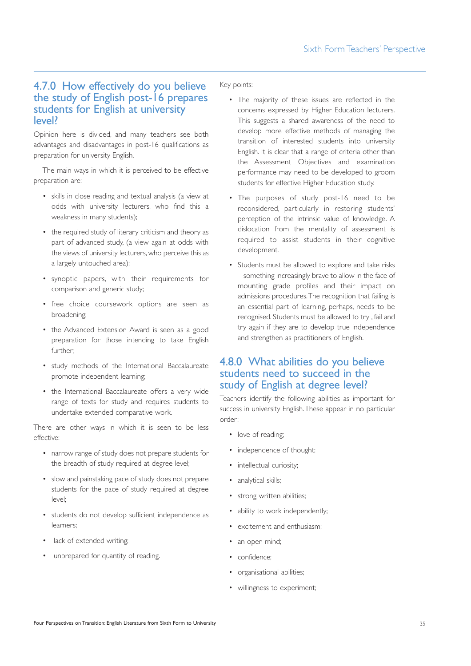## 4.7.0 How effectively do you believe the study of English post-16 prepares students for English at university level?

Opinion here is divided, and many teachers see both advantages and disadvantages in post-16 qualifications as preparation for university English.

The main ways in which it is perceived to be effective preparation are:

- skills in close reading and textual analysis (a view at odds with university lecturers, who find this a weakness in many students);
- the required study of literary criticism and theory as part of advanced study, (a view again at odds with the views of university lecturers, who perceive this as a largely untouched area);
- synoptic papers, with their requirements for comparison and generic study;
- free choice coursework options are seen as broadening;
- the Advanced Extension Award is seen as a good preparation for those intending to take English further;
- study methods of the International Baccalaureate promote independent learning;
- the International Baccalaureate offers a very wide range of texts for study and requires students to undertake extended comparative work.

There are other ways in which it is seen to be less effective:

- narrow range of study does not prepare students for the breadth of study required at degree level;
- slow and painstaking pace of study does not prepare students for the pace of study required at degree level;
- students do not develop sufficient independence as learners;
- lack of extended writing;
- unprepared for quantity of reading.

Key points:

- The majority of these issues are reflected in the concerns expressed by Higher Education lecturers. This suggests a shared awareness of the need to develop more effective methods of managing the transition of interested students into university English. It is clear that a range of criteria other than the Assessment Objectives and examination performance may need to be developed to groom students for effective Higher Education study.
- The purposes of study post-16 need to be reconsidered, particularly in restoring students' perception of the intrinsic value of knowledge. A dislocation from the mentality of assessment is required to assist students in their cognitive development.
- Students must be allowed to explore and take risks – something increasingly brave to allow in the face of mounting grade profiles and their impact on admissions procedures.The recognition that failing is an essential part of learning, perhaps, needs to be recognised. Students must be allowed to try , fail and try again if they are to develop true independence and strengthen as practitioners of English.

## 4.8.0 What abilities do you believe students need to succeed in the study of English at degree level?

Teachers identify the following abilities as important for success in university English.These appear in no particular order:

- love of reading;
- independence of thought;
- intellectual curiosity;
- analytical skills;
- strong written abilities:
- ability to work independently;
- excitement and enthusiasm;
- an open mind:
- confidence;
- organisational abilities;
- willingness to experiment;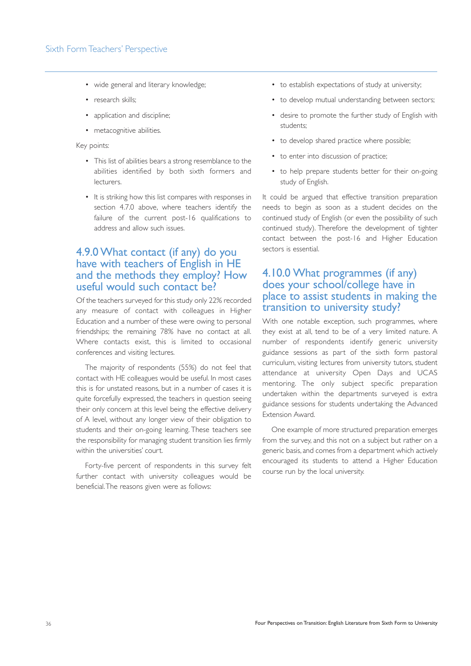- wide general and literary knowledge;
- research skills;
- application and discipline;
- metacognitive abilities.

#### Key points:

- This list of abilities bears a strong resemblance to the abilities identified by both sixth formers and lecturers.
- It is striking how this list compares with responses in section 4.7.0 above, where teachers identify the failure of the current post-16 qualifications to address and allow such issues.

## 4.9.0 What contact (if any) do you have with teachers of English in HE and the methods they employ? How useful would such contact be?

Of the teachers surveyed for this study only 22% recorded any measure of contact with colleagues in Higher Education and a number of these were owing to personal friendships; the remaining 78% have no contact at all. Where contacts exist, this is limited to occasional conferences and visiting lectures.

The majority of respondents (55%) do not feel that contact with HE colleagues would be useful. In most cases this is for unstated reasons, but in a number of cases it is quite forcefully expressed, the teachers in question seeing their only concern at this level being the effective delivery of A level, without any longer view of their obligation to students and their on-going learning. These teachers see the responsibility for managing student transition lies firmly within the universities' court.

Forty-five percent of respondents in this survey felt further contact with university colleagues would be beneficial.The reasons given were as follows:

- to establish expectations of study at university;
- to develop mutual understanding between sectors;
- desire to promote the further study of English with students;
- to develop shared practice where possible;
- to enter into discussion of practice;
- to help prepare students better for their on-going study of English.

It could be argued that effective transition preparation needs to begin as soon as a student decides on the continued study of English (or even the possibility of such continued study). Therefore the development of tighter contact between the post-16 and Higher Education sectors is essential.

#### 4.10.0 What programmes (if any) does your school/college have in place to assist students in making the transition to university study?

With one notable exception, such programmes, where they exist at all, tend to be of a very limited nature. A number of respondents identify generic university guidance sessions as part of the sixth form pastoral curriculum, visiting lectures from university tutors, student attendance at university Open Days and UCAS mentoring. The only subject specific preparation undertaken within the departments surveyed is extra guidance sessions for students undertaking the Advanced Extension Award.

One example of more structured preparation emerges from the survey, and this not on a subject but rather on a generic basis, and comes from a department which actively encouraged its students to attend a Higher Education course run by the local university.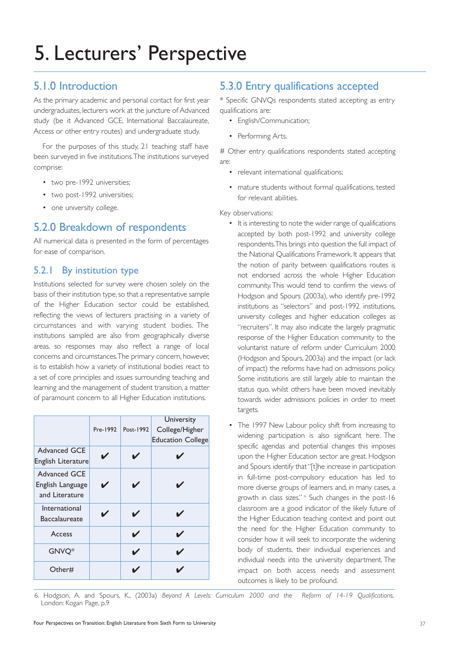## 5.1.0 Introduction

As the primary academic and personal contact for first year undergraduates, lecturers work at the juncture of Advanced study (be it Advanced GCE, International Baccalaureate, Access or other entry routes) and undergraduate study.

For the purposes of this study, 21 teaching staff have been surveyed in five institutions.The institutions surveyed comprise:

- two pre-1992 universities;
- two post-1992 universities;
- one university college.

## 5.2.0 Breakdown of respondents

All numerical data is presented in the form of percentages for ease of comparison.

### 5.2.1 By institution type

Institutions selected for survey were chosen solely on the basis of their institution type, so that a representative sample of the Higher Education sector could be established, reflecting the views of lecturers practising in a variety of circumstances and with varying student bodies. The institutions sampled are also from geographically diverse areas, so responses may also reflect a range of local concerns and circumstances.The primary concern, however, is to establish how a variety of institutional bodies react to a set of core principles and issues surrounding teaching and learning and the management of student transition, a matter of paramount concern to all Higher Education institutions.

|                                                           | Pre-1992 | Post-1992 | University<br>College/Higher<br><b>Education College</b> |
|-----------------------------------------------------------|----------|-----------|----------------------------------------------------------|
| <b>Advanced GCE</b><br>English Literature                 |          |           |                                                          |
| <b>Advanced GCE</b><br>English Language<br>and Literature |          | ◢         |                                                          |
| International<br><b>Baccalaureate</b>                     |          | ◢         |                                                          |
| Access                                                    |          | ✔         |                                                          |
| GNVQ*                                                     |          |           |                                                          |
| Other#                                                    |          |           |                                                          |

## 5.3.0 Entry qualifications accepted

\* Specific GNVQs respondents stated accepting as entry qualifications are:

- English/Communication;
- Performing Arts.

# Other entry qualifications respondents stated accepting are:

- relevant international qualifications;
- mature students without formal qualifications, tested for relevant abilities.

Key observations:

- It is interesting to note the wider range of qualifications accepted by both post-1992 and university college respondents.This brings into question the full impact of the National Qualifications Framework. It appears that the notion of parity between qualifications routes is not endorsed across the whole Higher Education community.This would tend to confirm the views of Hodgson and Spours (2003a), who identify pre-1992 institutions as "selectors" and post-1992 institutions, university colleges and higher education colleges as "recruiters". It may also indicate the largely pragmatic response of the Higher Education community to the voluntarist nature of reform under Curriculum 2000 (Hodgson and Spours, 2003a) and the impact (or lack of impact) the reforms have had on admissions policy. Some institutions are still largely able to maintain the status quo, whilst others have been moved inevitably towards wider admissions policies in order to meet targets.
- The 1997 New Labour policy shift from increasing to widening participation is also significant here. The specific agendas and potential changes this imposes upon the Higher Education sector are great. Hodgson and Spours identify that "[t]he increase in participation in full-time post-compulsory education has led to more diverse groups of learners and, in many cases, a growth in class sizes." <sup>6</sup> Such changes in the post-16 classroom are a good indicator of the likely future of the Higher Education teaching context and point out the need for the Higher Education community to consider how it will seek to incorporate the widening body of students, their individual experiences and individual needs into the university department. The impact on both access needs and assessment outcomes is likely to be profound.

6. Hodgson, A. and Spours, K., (2003a) *Beyond A Levels: Curriculum 2000 and the Reform of 14-19 Qualifications*, London: Kogan Page, p.9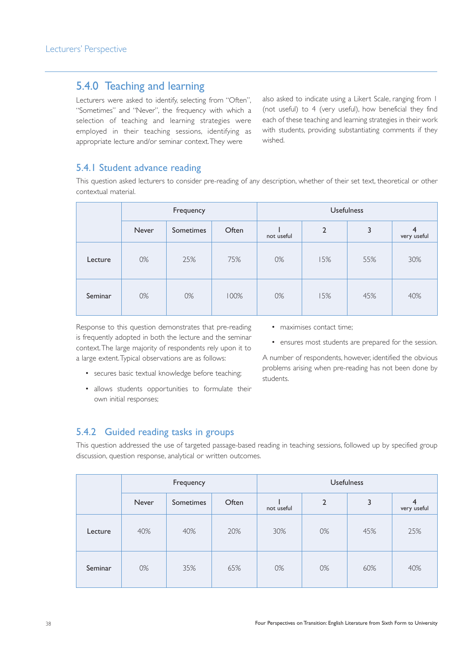## 5.4.0 Teaching and learning

Lecturers were asked to identify, selecting from "Often", "Sometimes" and "Never", the frequency with which a selection of teaching and learning strategies were employed in their teaching sessions, identifying as appropriate lecture and/or seminar context.They were

also asked to indicate using a Likert Scale, ranging from 1 (not useful) to 4 (very useful), how beneficial they find each of these teaching and learning strategies in their work with students, providing substantiating comments if they wished.

#### 5.4.1 Student advance reading

This question asked lecturers to consider pre-reading of any description, whether of their set text, theoretical or other contextual material.

|         | Frequency |                  |       | <b>Usefulness</b> |                |     |                               |
|---------|-----------|------------------|-------|-------------------|----------------|-----|-------------------------------|
|         | Never     | <b>Sometimes</b> | Often | not useful        | $\overline{2}$ | 3   | $\overline{4}$<br>very useful |
| Lecture | 0%        | 25%              | 75%   | 0%                | 15%            | 55% | 30%                           |
| Seminar | 0%        | 0%               | 100%  | 0%                | 15%            | 45% | 40%                           |

Response to this question demonstrates that pre-reading is frequently adopted in both the lecture and the seminar context.The large majority of respondents rely upon it to a large extent.Typical observations are as follows:

- secures basic textual knowledge before teaching;
- allows students opportunities to formulate their own initial responses;
- maximises contact time:
- ensures most students are prepared for the session.

A number of respondents, however, identified the obvious problems arising when pre-reading has not been done by students.

#### 5.4.2 Guided reading tasks in groups

This question addressed the use of targeted passage-based reading in teaching sessions, followed up by specified group discussion, question response, analytical or written outcomes.

|         | Frequency |                  |       | <b>Usefulness</b> |                |     |                  |
|---------|-----------|------------------|-------|-------------------|----------------|-----|------------------|
|         | Never     | <b>Sometimes</b> | Often | not useful        | $\overline{2}$ | 3   | 4<br>very useful |
| Lecture | 40%       | 40%              | 20%   | 30%               | 0%             | 45% | 25%              |
| Seminar | 0%        | 35%              | 65%   | 0%                | 0%             | 60% | 40%              |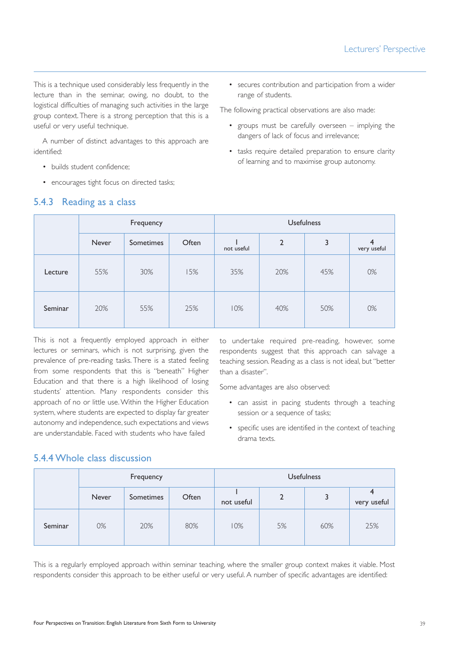This is a technique used considerably less frequently in the lecture than in the seminar, owing, no doubt, to the logistical difficulties of managing such activities in the large group context. There is a strong perception that this is a useful or very useful technique.

A number of distinct advantages to this approach are identified:

- builds student confidence;
- encourages tight focus on directed tasks;

#### 5.4.3 Reading as a class

• secures contribution and participation from a wider range of students.

The following practical observations are also made:

- groups must be carefully overseen implying the dangers of lack of focus and irrelevance;
- tasks require detailed preparation to ensure clarity of learning and to maximise group autonomy.

|         | Frequency |           |       | <b>Usefulness</b> |                |     |                               |
|---------|-----------|-----------|-------|-------------------|----------------|-----|-------------------------------|
|         | Never     | Sometimes | Often | not useful        | $\overline{2}$ | 3   | $\overline{4}$<br>very useful |
| Lecture | 55%       | 30%       | 15%   | 35%               | 20%            | 45% | 0%                            |
| Seminar | 20%       | 55%       | 25%   | 10%               | 40%            | 50% | 0%                            |

This is not a frequently employed approach in either lectures or seminars, which is not surprising, given the prevalence of pre-reading tasks. There is a stated feeling from some respondents that this is "beneath" Higher Education and that there is a high likelihood of losing students' attention. Many respondents consider this approach of no or little use. Within the Higher Education system, where students are expected to display far greater autonomy and independence, such expectations and views are understandable. Faced with students who have failed

to undertake required pre-reading, however, some respondents suggest that this approach can salvage a teaching session. Reading as a class is not ideal, but "better than a disaster".

Some advantages are also observed:

- can assist in pacing students through a teaching session or a sequence of tasks;
- specific uses are identified in the context of teaching drama texts.

#### 5.4.4 Whole class discussion

|         | Frequency    |                  |       | <b>Usefulness</b> |                |     |             |
|---------|--------------|------------------|-------|-------------------|----------------|-----|-------------|
|         | <b>Never</b> | <b>Sometimes</b> | Often | not useful        | $\overline{2}$ |     | very useful |
| Seminar | 0%           | 20%              | 80%   | 10%               | 5%             | 60% | 25%         |

This is a regularly employed approach within seminar teaching, where the smaller group context makes it viable. Most respondents consider this approach to be either useful or very useful. A number of specific advantages are identified: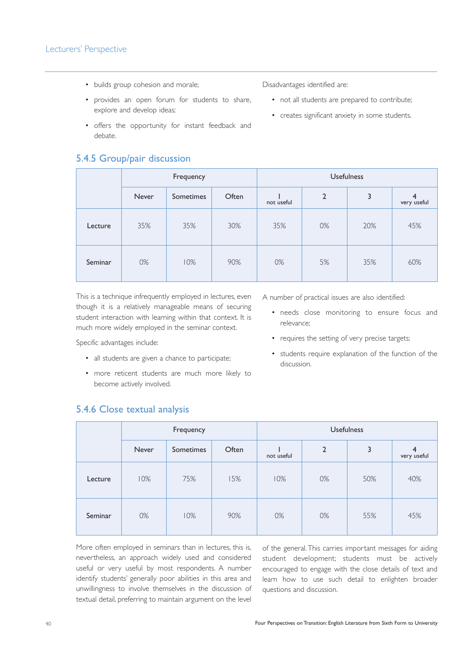- builds group cohesion and morale;
- provides an open forum for students to share, explore and develop ideas;
- offers the opportunity for instant feedback and debate.

## 5.4.5 Group/pair discussion

Disadvantages identified are:

- not all students are prepared to contribute;
- creates significant anxiety in some students.

|         | Frequency |                  |       | <b>Usefulness</b> |                |     |                  |
|---------|-----------|------------------|-------|-------------------|----------------|-----|------------------|
|         | Never     | <b>Sometimes</b> | Often | not useful        | $\overline{2}$ | 3   | 4<br>very useful |
| Lecture | 35%       | 35%              | 30%   | 35%               | 0%             | 20% | 45%              |
| Seminar | 0%        | 10%              | 90%   | 0%                | 5%             | 35% | 60%              |

This is a technique infrequently employed in lectures, even though it is a relatively manageable means of securing student interaction with learning within that context. It is much more widely employed in the seminar context.

Specific advantages include:

5.4.6 Close textual analysis

- all students are given a chance to participate;
- more reticent students are much more likely to become actively involved.

A number of practical issues are also identified:

- needs close monitoring to ensure focus and relevance;
- requires the setting of very precise targets;
- students require explanation of the function of the discussion.

|         | Frequency |           |       | <b>Usefulness</b> |                |     |                  |
|---------|-----------|-----------|-------|-------------------|----------------|-----|------------------|
|         | Never     | Sometimes | Often | not useful        | $\overline{2}$ | 3   | 4<br>very useful |
| Lecture | 10%       | 75%       | 15%   | 10%               | 0%             | 50% | 40%              |
| Seminar | 0%        | 10%       | 90%   | 0%                | 0%             | 55% | 45%              |

More often employed in seminars than in lectures, this is, nevertheless, an approach widely used and considered useful or very useful by most respondents. A number identify students' generally poor abilities in this area and unwillingness to involve themselves in the discussion of textual detail, preferring to maintain argument on the level of the general.This carries important messages for aiding student development; students must be actively encouraged to engage with the close details of text and learn how to use such detail to enlighten broader questions and discussion.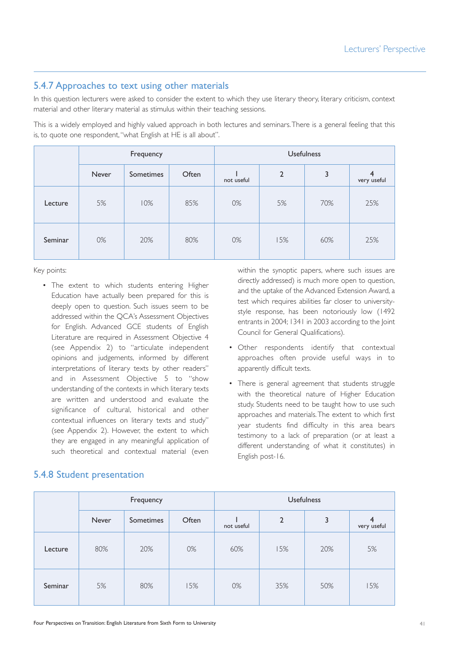#### 5.4.7 Approaches to text using other materials

In this question lecturers were asked to consider the extent to which they use literary theory, literary criticism, context material and other literary material as stimulus within their teaching sessions.

This is a widely employed and highly valued approach in both lectures and seminars.There is a general feeling that this is, to quote one respondent,"what English at HE is all about".

|         | Frequency |           |       | <b>Usefulness</b> |                |     |                  |
|---------|-----------|-----------|-------|-------------------|----------------|-----|------------------|
|         | Never     | Sometimes | Often | not useful        | $\overline{2}$ | 3   | 4<br>very useful |
| Lecture | 5%        | 10%       | 85%   | 0%                | 5%             | 70% | 25%              |
| Seminar | 0%        | 20%       | 80%   | 0%                | 15%            | 60% | 25%              |

Key points:

• The extent to which students entering Higher Education have actually been prepared for this is deeply open to question. Such issues seem to be addressed within the QCA's Assessment Objectives for English. Advanced GCE students of English Literature are required in Assessment Objective 4 (see Appendix 2) to "articulate independent opinions and judgements, informed by different interpretations of literary texts by other readers" and in Assessment Objective 5 to "show understanding of the contexts in which literary texts are written and understood and evaluate the significance of cultural, historical and other contextual influences on literary texts and study" (see Appendix 2). However, the extent to which they are engaged in any meaningful application of such theoretical and contextual material (even

5.4.8 Student presentation

within the synoptic papers, where such issues are directly addressed) is much more open to question, and the uptake of the Advanced Extension Award, a test which requires abilities far closer to universitystyle response, has been notoriously low (1492 entrants in 2004; 1341 in 2003 according to the Joint Council for General Qualifications).

- Other respondents identify that contextual approaches often provide useful ways in to apparently difficult texts.
- There is general agreement that students struggle with the theoretical nature of Higher Education study. Students need to be taught how to use such approaches and materials.The extent to which first year students find difficulty in this area bears testimony to a lack of preparation (or at least a different understanding of what it constitutes) in English post-16.

|         | Frequency |                  |       | <b>Usefulness</b> |                |     |                               |
|---------|-----------|------------------|-------|-------------------|----------------|-----|-------------------------------|
|         | Never     | <b>Sometimes</b> | Often | not useful        | $\overline{2}$ | 3   | $\overline{4}$<br>very useful |
| Lecture | 80%       | 20%              | 0%    | 60%               | 15%            | 20% | 5%                            |
| Seminar | 5%        | 80%              | 15%   | 0%                | 35%            | 50% | 15%                           |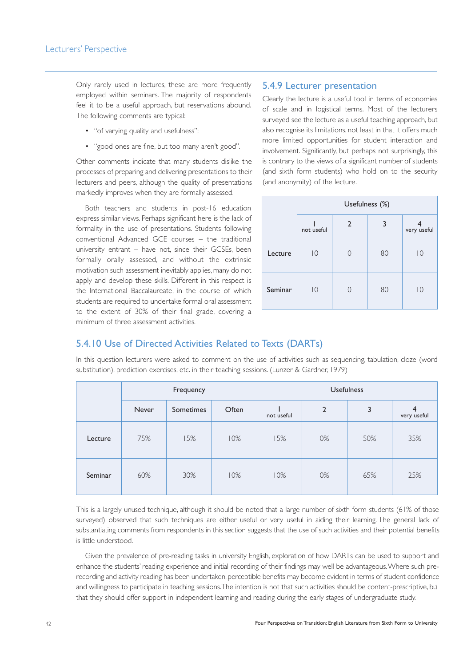Only rarely used in lectures, these are more frequently employed within seminars. The majority of respondents feel it to be a useful approach, but reservations abound. The following comments are typical:

- "of varying quality and usefulness";
- "good ones are fine, but too many aren't good".

Other comments indicate that many students dislike the processes of preparing and delivering presentations to their lecturers and peers, although the quality of presentations markedly improves when they are formally assessed.

Both teachers and students in post-16 education express similar views. Perhaps significant here is the lack of formality in the use of presentations. Students following conventional Advanced GCE courses – the traditional university entrant – have not, since their GCSEs, been formally orally assessed, and without the extrinsic motivation such assessment inevitably applies, many do not apply and develop these skills. Different in this respect is the International Baccalaureate, in the course of which students are required to undertake formal oral assessment to the extent of 30% of their final grade, covering a minimum of three assessment activities.

#### 5.4.9 Lecturer presentation

Clearly the lecture is a useful tool in terms of economies of scale and in logistical terms. Most of the lecturers surveyed see the lecture as a useful teaching approach, but also recognise its limitations, not least in that it offers much more limited opportunities for student interaction and involvement. Significantly, but perhaps not surprisingly, this is contrary to the views of a significant number of students (and sixth form students) who hold on to the security (and anonymity) of the lecture.

|         |                | Usefulness (%) |    |                |  |  |  |  |
|---------|----------------|----------------|----|----------------|--|--|--|--|
|         | not useful     | 2              | 3  | very useful    |  |  |  |  |
| Lecture | $\overline{0}$ |                | 80 | 10             |  |  |  |  |
| Seminar | $\overline{0}$ |                | 80 | $\overline{0}$ |  |  |  |  |

#### 5.4.10 Use of Directed Activities Related to Texts (DARTs)

In this question lecturers were asked to comment on the use of activities such as sequencing, tabulation, cloze (word substitution), prediction exercises, etc. in their teaching sessions. (Lunzer & Gardner, 1979)

|         | Frequency |           |       | <b>Usefulness</b> |                |     |                  |
|---------|-----------|-----------|-------|-------------------|----------------|-----|------------------|
|         | Never     | Sometimes | Often | not useful        | $\overline{2}$ | 3   | 4<br>very useful |
| Lecture | 75%       | 15%       | 10%   | 15%               | 0%             | 50% | 35%              |
| Seminar | 60%       | 30%       | 10%   | 10%               | 0%             | 65% | 25%              |

This is a largely unused technique, although it should be noted that a large number of sixth form students (61% of those surveyed) observed that such techniques are either useful or very useful in aiding their learning. The general lack of substantiating comments from respondents in this section suggests that the use of such activities and their potential benefits is little understood.

Given the prevalence of pre-reading tasks in university English, exploration of how DARTs can be used to support and enhance the students' reading experience and initial recording of their findings may well be advantageous.Where such prerecording and activity reading has been undertaken, perceptible benefits may become evident in terms of student confidence and willingness to participate in teaching sessions.The intention is not that such activities should be content-prescriptive, but that they should offer support in independent learning and reading during the early stages of undergraduate study.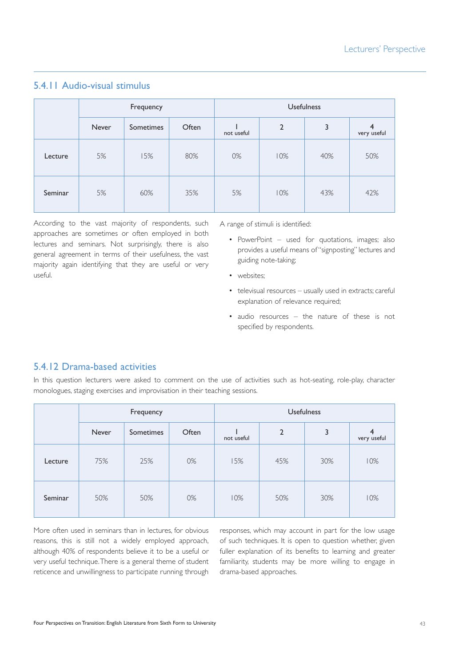|         | Frequency |           |       | <b>Usefulness</b> |                |     |                               |
|---------|-----------|-----------|-------|-------------------|----------------|-----|-------------------------------|
|         | Never     | Sometimes | Often | not useful        | $\overline{2}$ | 3   | $\overline{4}$<br>very useful |
| Lecture | 5%        | 15%       | 80%   | 0%                | 10%            | 40% | 50%                           |
| Seminar | 5%        | 60%       | 35%   | 5%                | 10%            | 43% | 42%                           |

## 5.4.11 Audio-visual stimulus

According to the vast majority of respondents, such approaches are sometimes or often employed in both lectures and seminars. Not surprisingly, there is also general agreement in terms of their usefulness, the vast majority again identifying that they are useful or very useful.

A range of stimuli is identified:

- PowerPoint used for quotations, images; also provides a useful means of "signposting" lectures and guiding note-taking;
- websites:
- televisual resources usually used in extracts; careful explanation of relevance required;
- audio resources the nature of these is not specified by respondents.

## 5.4.12 Drama-based activities

In this question lecturers were asked to comment on the use of activities such as hot-seating, role-play, character monologues, staging exercises and improvisation in their teaching sessions.

|         | Frequency    |                  |       | <b>Usefulness</b> |                |     |                               |  |
|---------|--------------|------------------|-------|-------------------|----------------|-----|-------------------------------|--|
|         | <b>Never</b> | <b>Sometimes</b> | Often | not useful        | $\overline{2}$ | 3   | $\overline{4}$<br>very useful |  |
| Lecture | 75%          | 25%              | 0%    | 15%               | 45%            | 30% | 10%                           |  |
| Seminar | 50%          | 50%              | 0%    | 10%               | 50%            | 30% | 10%                           |  |

More often used in seminars than in lectures, for obvious reasons, this is still not a widely employed approach, although 40% of respondents believe it to be a useful or very useful technique.There is a general theme of student reticence and unwillingness to participate running through

responses, which may account in part for the low usage of such techniques. It is open to question whether, given fuller explanation of its benefits to learning and greater familiarity, students may be more willing to engage in drama-based approaches.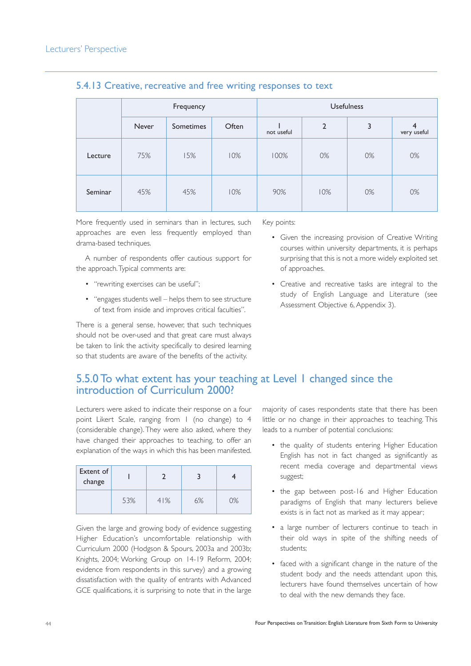|         | Frequency |           |       |            | <b>Usefulness</b> |    |                  |  |
|---------|-----------|-----------|-------|------------|-------------------|----|------------------|--|
|         | Never     | Sometimes | Often | not useful | $\overline{2}$    | 3  | 4<br>very useful |  |
| Lecture | 75%       | 15%       | 10%   | 100%       | 0%                | 0% | 0%               |  |
| Seminar | 45%       | 45%       | 10%   | 90%        | 10%               | 0% | 0%               |  |

#### 5.4.13 Creative, recreative and free writing responses to text

More frequently used in seminars than in lectures, such approaches are even less frequently employed than drama-based techniques.

A number of respondents offer cautious support for the approach.Typical comments are:

- "rewriting exercises can be useful";
- "engages students well helps them to see structure of text from inside and improves critical faculties".

There is a general sense, however, that such techniques should not be over-used and that great care must always be taken to link the activity specifically to desired learning so that students are aware of the benefits of the activity.

Key points:

- Given the increasing provision of Creative Writing courses within university departments, it is perhaps surprising that this is not a more widely exploited set of approaches.
- Creative and recreative tasks are integral to the study of English Language and Literature (see Assessment Objective 6, Appendix 3).

## 5.5.0 To what extent has your teaching at Level 1 changed since the introduction of Curriculum 2000?

Lecturers were asked to indicate their response on a four point Likert Scale, ranging from 1 (no change) to 4 (considerable change). They were also asked, where they have changed their approaches to teaching, to offer an explanation of the ways in which this has been manifested.

| Extent of<br>change |     |     |    |    |
|---------------------|-----|-----|----|----|
|                     | 53% | 41% | 6% | 0% |

Given the large and growing body of evidence suggesting Higher Education's uncomfortable relationship with Curriculum 2000 (Hodgson & Spours, 2003a and 2003b; Knights, 2004; Working Group on 14-19 Reform, 2004; evidence from respondents in this survey) and a growing dissatisfaction with the quality of entrants with Advanced GCE qualifications, it is surprising to note that in the large

majority of cases respondents state that there has been little or no change in their approaches to teaching. This leads to a number of potential conclusions:

- the quality of students entering Higher Education English has not in fact changed as significantly as recent media coverage and departmental views suggest;
- the gap between post-16 and Higher Education paradigms of English that many lecturers believe exists is in fact not as marked as it may appear;
- a large number of lecturers continue to teach in their old ways in spite of the shifting needs of students;
- faced with a significant change in the nature of the student body and the needs attendant upon this, lecturers have found themselves uncertain of how to deal with the new demands they face.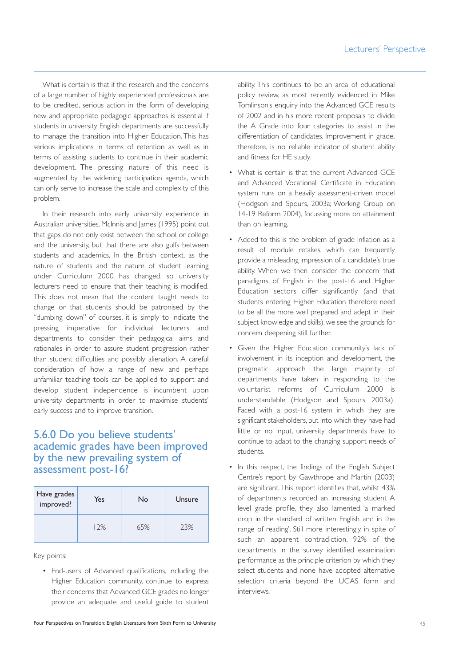What is certain is that if the research and the concerns of a large number of highly experienced professionals are to be credited, serious action in the form of developing new and appropriate pedagogic approaches is essential if students in university English departments are successfully to manage the transition into Higher Education. This has serious implications in terms of retention as well as in terms of assisting students to continue in their academic development. The pressing nature of this need is augmented by the widening participation agenda, which can only serve to increase the scale and complexity of this problem.

In their research into early university experience in Australian universities, McInnis and James (1995) point out that gaps do not only exist between the school or college and the university, but that there are also gulfs between students and academics. In the British context, as the nature of students and the nature of student learning under Curriculum 2000 has changed, so university lecturers need to ensure that their teaching is modified. This does not mean that the content taught needs to change or that students should be patronised by the "dumbing down" of courses, it is simply to indicate the pressing imperative for individual lecturers and departments to consider their pedagogical aims and rationales in order to assure student progression rather than student difficulties and possibly alienation. A careful consideration of how a range of new and perhaps unfamiliar teaching tools can be applied to support and develop student independence is incumbent upon university departments in order to maximise students' early success and to improve transition.

## 5.6.0 Do you believe students' academic grades have been improved by the new prevailing system of assessment post-16?

| Have grades<br>improved? | Yes<br>No |     | Unsure |
|--------------------------|-----------|-----|--------|
|                          | 12%       | 65% | 23%    |

Key points:

• End-users of Advanced qualifications, including the Higher Education community, continue to express their concerns that Advanced GCE grades no longer provide an adequate and useful guide to student

ability. This continues to be an area of educational policy review, as most recently evidenced in Mike Tomlinson's enquiry into the Advanced GCE results of 2002 and in his more recent proposals to divide the A Grade into four categories to assist in the differentiation of candidates. Improvement in grade, therefore, is no reliable indicator of student ability and fitness for HE study.

- What is certain is that the current Advanced GCE and Advanced Vocational Certificate in Education system runs on a heavily assessment-driven model (Hodgson and Spours, 2003a; Working Group on 14-19 Reform 2004), focussing more on attainment than on learning.
- Added to this is the problem of grade inflation as a result of module retakes, which can frequently provide a misleading impression of a candidate's true ability. When we then consider the concern that paradigms of English in the post-16 and Higher Education sectors differ significantly (and that students entering Higher Education therefore need to be all the more well prepared and adept in their subject knowledge and skills), we see the grounds for concern deepening still further.
- Given the Higher Education community's lack of involvement in its inception and development, the pragmatic approach the large majority of departments have taken in responding to the voluntarist reforms of Curriculum 2000 is understandable (Hodgson and Spours, 2003a). Faced with a post-16 system in which they are significant stakeholders, but into which they have had little or no input, university departments have to continue to adapt to the changing support needs of students.
- In this respect, the findings of the English Subject Centre's report by Gawthrope and Martin (2003) are significant.This report identifies that, whilst 43% of departments recorded an increasing student A level grade profile, they also lamented 'a marked drop in the standard of written English and in the range of reading'. Still more interestingly, in spite of such an apparent contradiction, 92% of the departments in the survey identified examination performance as the principle criterion by which they select students and none have adopted alternative selection criteria beyond the UCAS form and interviews.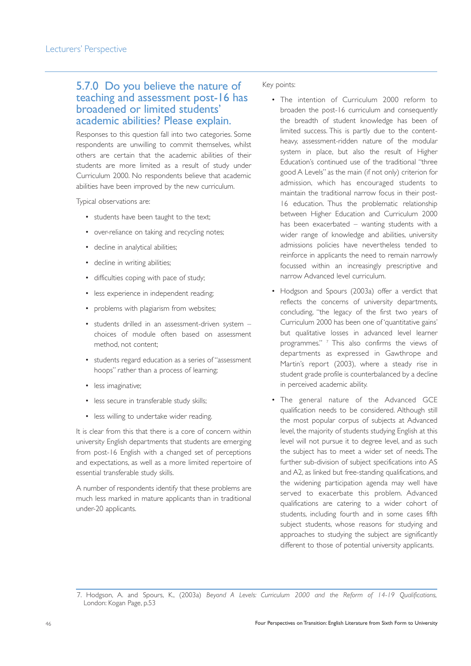## 5.7.0 Do you believe the nature of teaching and assessment post-16 has broadened or limited students' academic abilities? Please explain.

Responses to this question fall into two categories. Some respondents are unwilling to commit themselves, whilst others are certain that the academic abilities of their students are more limited as a result of study under Curriculum 2000. No respondents believe that academic abilities have been improved by the new curriculum.

Typical observations are:

- students have been taught to the text;
- over-reliance on taking and recycling notes;
- decline in analytical abilities:
- decline in writing abilities;
- difficulties coping with pace of study;
- less experience in independent reading;
- problems with plagiarism from websites;
- students drilled in an assessment-driven system choices of module often based on assessment method, not content;
- students regard education as a series of "assessment hoops" rather than a process of learning;
- less imaginative;
- less secure in transferable study skills;
- less willing to undertake wider reading.

It is clear from this that there is a core of concern within university English departments that students are emerging from post-16 English with a changed set of perceptions and expectations, as well as a more limited repertoire of essential transferable study skills.

A number of respondents identify that these problems are much less marked in mature applicants than in traditional under-20 applicants.

#### Key points:

- The intention of Curriculum 2000 reform to broaden the post-16 curriculum and consequently the breadth of student knowledge has been of limited success. This is partly due to the contentheavy, assessment-ridden nature of the modular system in place, but also the result of Higher Education's continued use of the traditional "three good A Levels" as the main (if not only) criterion for admission, which has encouraged students to maintain the traditional narrow focus in their post-16 education. Thus the problematic relationship between Higher Education and Curriculum 2000 has been exacerbated – wanting students with a wider range of knowledge and abilities, university admissions policies have nevertheless tended to reinforce in applicants the need to remain narrowly focussed within an increasingly prescriptive and narrow Advanced level curriculum.
- Hodgson and Spours (2003a) offer a verdict that reflects the concerns of university departments, concluding, "the legacy of the first two years of Curriculum 2000 has been one of 'quantitative gains' but qualitative losses in advanced level learner programmes." <sup>7</sup> This also confirms the views of departments as expressed in Gawthrope and Martin's report (2003), where a steady rise in student grade profile is counterbalanced by a decline in perceived academic ability.
- The general nature of the Advanced GCE qualification needs to be considered. Although still the most popular corpus of subjects at Advanced level, the majority of students studying English at this level will not pursue it to degree level, and as such the subject has to meet a wider set of needs. The further sub-division of subject specifications into AS and A2, as linked but free-standing qualifications, and the widening participation agenda may well have served to exacerbate this problem. Advanced qualifications are catering to a wider cohort of students, including fourth and in some cases fifth subject students, whose reasons for studying and approaches to studying the subject are significantly different to those of potential university applicants.

<sup>7.</sup> Hodgson, A. and Spours, K., (2003a) *Beyond A Levels: Curriculum 2000 and the Reform of 14-19 Qualifications*, London: Kogan Page, p.53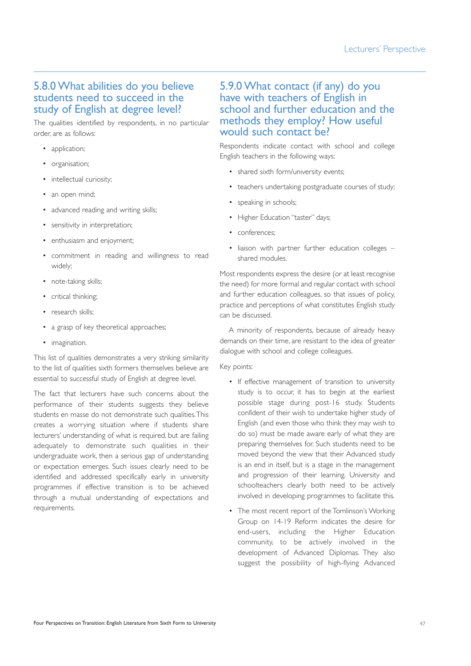## 5.8.0 What abilities do you believe students need to succeed in the study of English at degree level?

The qualities identified by respondents, in no particular order, are as follows:

- application;
- organisation;
- intellectual curiosity:
- an open mind;
- advanced reading and writing skills;
- sensitivity in interpretation;
- enthusiasm and enjoyment;
- commitment in reading and willingness to read widely;
- note-taking skills;
- critical thinking;
- research skills:
- a grasp of key theoretical approaches;
- imagination.

This list of qualities demonstrates a very striking similarity to the list of qualities sixth formers themselves believe are essential to successful study of English at degree level.

The fact that lecturers have such concerns about the performance of their students suggests they believe students en masse do not demonstrate such qualities.This creates a worrying situation where if students share lecturers' understanding of what is required, but are failing adequately to demonstrate such qualities in their undergraduate work, then a serious gap of understanding or expectation emerges. Such issues clearly need to be identified and addressed specifically early in university programmes if effective transition is to be achieved through a mutual understanding of expectations and requirements.

## 5.9.0 What contact (if any) do you have with teachers of English in school and further education and the methods they employ? How useful would such contact be?

Respondents indicate contact with school and college English teachers in the following ways:

- shared sixth form/university events;
- teachers undertaking postgraduate courses of study;
- speaking in schools;
- Higher Education "taster" days;
- conferences;
- liaison with partner further education colleges shared modules.

Most respondents express the desire (or at least recognise the need) for more formal and regular contact with school and further education colleagues, so that issues of policy, practice and perceptions of what constitutes English study can be discussed.

A minority of respondents, because of already heavy demands on their time, are resistant to the idea of greater dialogue with school and college colleagues.

#### Key points:

- If effective management of transition to university study is to occur, it has to begin at the earliest possible stage during post-16 study. Students confident of their wish to undertake higher study of English (and even those who think they may wish to do so) must be made aware early of what they are preparing themselves for. Such students need to be moved beyond the view that their Advanced study is an end in itself, but is a stage in the management and progression of their learning. University and schoolteachers clearly both need to be actively involved in developing programmes to facilitate this.
- The most recent report of the Tomlinson's Working Group on 14-19 Reform indicates the desire for end-users, including the Higher Education community, to be actively involved in the development of Advanced Diplomas. They also suggest the possibility of high-flying Advanced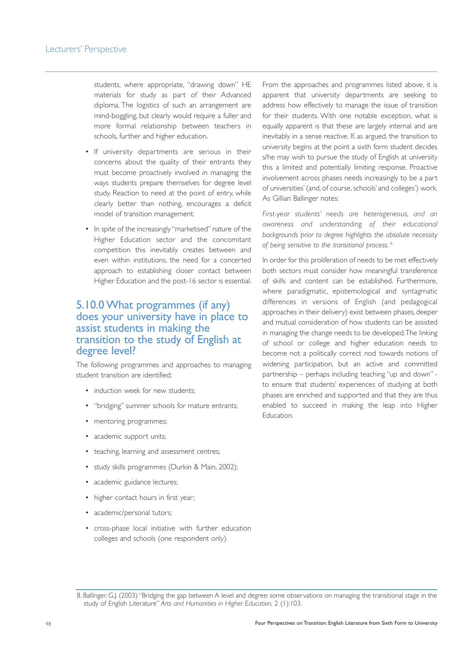students, where appropriate, "drawing down" HE materials for study as part of their Advanced diploma. The logistics of such an arrangement are mind-boggling, but clearly would require a fuller and more formal relationship between teachers in schools, further and higher education.

- If university departments are serious in their concerns about the quality of their entrants they must become proactively involved in managing the ways students prepare themselves for degree level study. Reaction to need at the point of entry, while clearly better than nothing, encourages a deficit model of transition management.
- In spite of the increasingly "marketised" nature of the Higher Education sector and the concomitant competition this inevitably creates between and even within institutions, the need for a concerted approach to establishing closer contact between Higher Education and the post-16 sector is essential.

## 5.10.0 What programmes (if any) does your university have in place to assist students in making the transition to the study of English at degree level?

The following programmes and approaches to managing student transition are identified:

- induction week for new students:
- "bridging" summer schools for mature entrants;
- mentoring programmes;
- academic support units;
- teaching, learning and assessment centres;
- study skills programmes (Durkin & Main, 2002);
- academic guidance lectures;
- higher contact hours in first year;
- academic/personal tutors;
- cross-phase local initiative with further education colleges and schools (one respondent only).

From the approaches and programmes listed above, it is apparent that university departments are seeking to address how effectively to manage the issue of transition for their students. With one notable exception, what is equally apparent is that these are largely internal and are inevitably in a sense reactive. If, as argued, the transition to university begins at the point a sixth form student decides s/he may wish to pursue the study of English at university this a limited and potentially limiting response. Proactive involvement across phases needs increasingly to be a part of universities' (and, of course, schools' and colleges') work. As Gillian Ballinger notes:

*First-year students' needs are heterogeneous, and an awareness and understanding of their educational backgrounds prior to degree highlights the absolute necessity of being sensitive to the transitional process.* <sup>8</sup>

In order for this proliferation of needs to be met effectively both sectors must consider how meaningful transference of skills and content can be established. Furthermore, where paradigmatic, epistemological and syntagmatic differences in versions of English (and pedagogical approaches in their delivery) exist between phases, deeper and mutual consideration of how students can be assisted in managing the change needs to be developed.The linking of school or college and higher education needs to become not a politically correct nod towards notions of widening participation, but an active and committed partnership – perhaps including teaching "up and down" to ensure that students' experiences of studying at both phases are enriched and supported and that they are thus enabled to succeed in making the leap into Higher Education.

<sup>8.</sup> Ballinger, G.J. (2003) "Bridging the gap between A level and degree: some observations on managing the transitional stage in the study of English Literature" *Arts and Humanities in Higher Education,* 2 (1):103.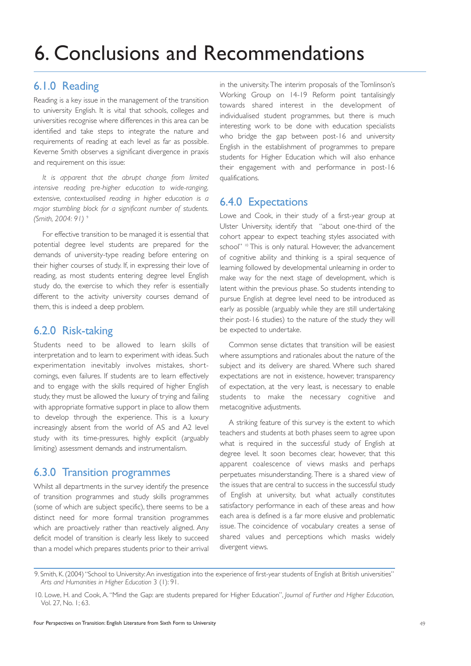# 6. Conclusions and Recommendations

## 6.1.0 Reading

Reading is a key issue in the management of the transition to university English. It is vital that schools, colleges and universities recognise where differences in this area can be identified and take steps to integrate the nature and requirements of reading at each level as far as possible. Keverne Smith observes a significant divergence in praxis and requirement on this issue:

*It is apparent that the abrupt change from limited intensive reading pre-higher education to wide-ranging, extensive, contextualised reading in higher education is a major stumbling block for a significant number of students. (Smith, 2004: 91)* <sup>9</sup>

For effective transition to be managed it is essential that potential degree level students are prepared for the demands of university-type reading before entering on their higher courses of study. If, in expressing their love of reading, as most students entering degree level English study do, the exercise to which they refer is essentially different to the activity university courses demand of them, this is indeed a deep problem.

#### 6.2.0 Risk-taking

Students need to be allowed to learn skills of interpretation and to learn to experiment with ideas. Such experimentation inevitably involves mistakes, shortcomings, even failures. If students are to learn effectively and to engage with the skills required of higher English study, they must be allowed the luxury of trying and failing with appropriate formative support in place to allow them to develop through the experience. This is a luxury increasingly absent from the world of AS and A2 level study with its time-pressures, highly explicit (arguably limiting) assessment demands and instrumentalism.

#### 6.3.0 Transition programmes

Whilst all departments in the survey identify the presence of transition programmes and study skills programmes (some of which are subject specific), there seems to be a distinct need for more formal transition programmes which are proactively rather than reactively aligned. Any deficit model of transition is clearly less likely to succeed than a model which prepares students prior to their arrival in the university.The interim proposals of the Tomlinson's Working Group on 14-19 Reform point tantalisingly towards shared interest in the development of individualised student programmes, but there is much interesting work to be done with education specialists who bridge the gap between post-16 and university English in the establishment of programmes to prepare students for Higher Education which will also enhance their engagement with and performance in post-16 qualifications.

## 6.4.0 Expectations

Lowe and Cook, in their study of a first-year group at Ulster University, identify that "about one-third of the cohort appear to expect teaching styles associated with school" <sup>10</sup> This is only natural. However, the advancement of cognitive ability and thinking is a spiral sequence of learning followed by developmental unlearning in order to make way for the next stage of development, which is latent within the previous phase. So students intending to pursue English at degree level need to be introduced as early as possible (arguably while they are still undertaking their post-16 studies) to the nature of the study they will be expected to undertake.

Common sense dictates that transition will be easiest where assumptions and rationales about the nature of the subject and its delivery are shared. Where such shared expectations are not in existence, however, transparency of expectation, at the very least, is necessary to enable students to make the necessary cognitive and metacognitive adjustments.

A striking feature of this survey is the extent to which teachers and students at both phases seem to agree upon what is required in the successful study of English at degree level. It soon becomes clear, however, that this apparent coalescence of views masks and perhaps perpetuates misunderstanding. There is a shared view of the issues that are central to success in the successful study of English at university, but what actually constitutes satisfactory performance in each of these areas and how each area is defined is a far more elusive and problematic issue. The coincidence of vocabulary creates a sense of shared values and perceptions which masks widely divergent views.

<sup>9.</sup> Smith, K. (2004) "School to University:An investigation into the experience of first-year students of English at British universities" *Arts and Humanities in Higher Education* 3 (1): 91.

<sup>10.</sup> Lowe, H. and Cook, A. "Mind the Gap: are students prepared for Higher Education", *Journal of Further and Higher Education*, Vol. 27, No. 1; 63.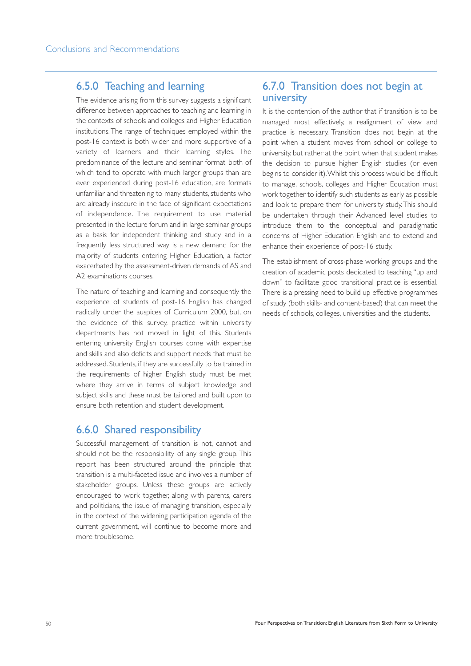## 6.5.0 Teaching and learning

The evidence arising from this survey suggests a significant difference between approaches to teaching and learning in the contexts of schools and colleges and Higher Education institutions.The range of techniques employed within the post-16 context is both wider and more supportive of a variety of learners and their learning styles. The predominance of the lecture and seminar format, both of which tend to operate with much larger groups than are ever experienced during post-16 education, are formats unfamiliar and threatening to many students, students who are already insecure in the face of significant expectations of independence. The requirement to use material presented in the lecture forum and in large seminar groups as a basis for independent thinking and study and in a frequently less structured way is a new demand for the majority of students entering Higher Education, a factor exacerbated by the assessment-driven demands of AS and A2 examinations courses.

The nature of teaching and learning and consequently the experience of students of post-16 English has changed radically under the auspices of Curriculum 2000, but, on the evidence of this survey, practice within university departments has not moved in light of this. Students entering university English courses come with expertise and skills and also deficits and support needs that must be addressed. Students, if they are successfully to be trained in the requirements of higher English study must be met where they arrive in terms of subject knowledge and subject skills and these must be tailored and built upon to ensure both retention and student development.

#### 6.6.0 Shared responsibility

Successful management of transition is not, cannot and should not be the responsibility of any single group. This report has been structured around the principle that transition is a multi-faceted issue and involves a number of stakeholder groups. Unless these groups are actively encouraged to work together, along with parents, carers and politicians, the issue of managing transition, especially in the context of the widening participation agenda of the current government, will continue to become more and more troublesome.

#### 6.7.0 Transition does not begin at university

It is the contention of the author that if transition is to be managed most effectively, a realignment of view and practice is necessary. Transition does not begin at the point when a student moves from school or college to university, but rather at the point when that student makes the decision to pursue higher English studies (or even begins to consider it).Whilst this process would be difficult to manage, schools, colleges and Higher Education must work together to identify such students as early as possible and look to prepare them for university study.This should be undertaken through their Advanced level studies to introduce them to the conceptual and paradigmatic concerns of Higher Education English and to extend and enhance their experience of post-16 study.

The establishment of cross-phase working groups and the creation of academic posts dedicated to teaching "up and down" to facilitate good transitional practice is essential. There is a pressing need to build up effective programmes of study (both skills- and content-based) that can meet the needs of schools, colleges, universities and the students.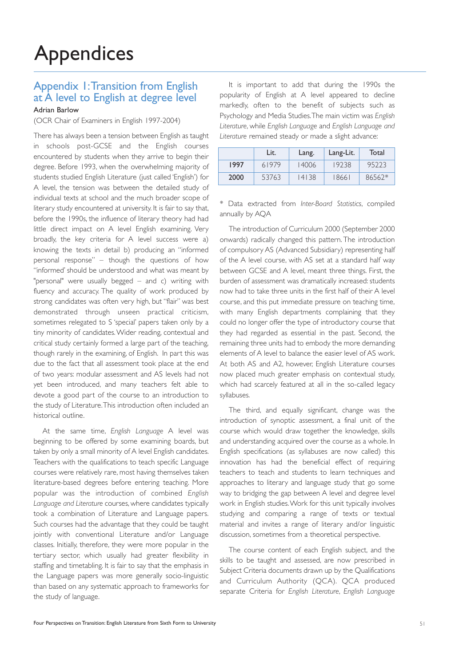#### Appendix 1:Transition from English at A level to English at degree level Adrian Barlow

(OCR Chair of Examiners in English 1997-2004)

There has always been a tension between English as taught in schools post-GCSE and the English courses encountered by students when they arrive to begin their degree. Before 1993, when the overwhelming majority of students studied English Literature (just called 'English') for A level, the tension was between the detailed study of individual texts at school and the much broader scope of literary study encountered at university. It is fair to say that, before the 1990s, the influence of literary theory had had little direct impact on A level English examining. Very broadly, the key criteria for A level success were a) knowing the texts in detail b) producing an "informed personal response" – though the questions of how "informed' should be understood and what was meant by "personal" were usually begged – and c) writing with fluency and accuracy. The quality of work produced by strong candidates was often very high, but "flair" was best demonstrated through unseen practical criticism, sometimes relegated to S 'special' papers taken only by a tiny minority of candidates. Wider reading, contextual and critical study certainly formed a large part of the teaching, though rarely in the examining, of English. In part this was due to the fact that all assessment took place at the end of two years: modular assessment and AS levels had not yet been introduced, and many teachers felt able to devote a good part of the course to an introduction to the study of Literature.This introduction often included an historical outline.

At the same time, *English Language* A level was beginning to be offered by some examining boards, but taken by only a small minority of A level English candidates. Teachers with the qualifications to teach specific Language courses were relatively rare, most having themselves taken literature-based degrees before entering teaching. More popular was the introduction of combined *English Language and Literature* courses, where candidates typically took a combination of Literature and Language papers. Such courses had the advantage that they could be taught jointly with conventional Literature and/or Language classes. Initially, therefore, they were more popular in the tertiary sector, which usually had greater flexibility in staffing and timetabling. It is fair to say that the emphasis in the Language papers was more generally socio-linguistic than based on any systematic approach to frameworks for the study of language.

It is important to add that during the 1990s the popularity of English at A level appeared to decline markedly, often to the benefit of subjects such as Psychology and Media Studies.The main victim was *English Literature*, while *English Language* and *English Language and Literature* remained steady or made a slight advance:

|      | Lit.  | Lang. | Lang-Lit. | Total  |
|------|-------|-------|-----------|--------|
| 1997 | 61979 | 14006 | 19238     | 95223  |
| 2000 | 53763 | 14138 | 18661     | 86562* |

\* Data extracted from *Inter-Board Statistics*, compiled annually by AQA

The introduction of Curriculum 2000 (September 2000 onwards) radically changed this pattern. The introduction of compulsory AS (Advanced Subsidiary) representing half of the A level course, with AS set at a standard half way between GCSE and A level, meant three things. First, the burden of assessment was dramatically increased: students now had to take three units in the first half of their A level course, and this put immediate pressure on teaching time, with many English departments complaining that they could no longer offer the type of introductory course that they had regarded as essential in the past. Second, the remaining three units had to embody the more demanding elements of A level to balance the easier level of AS work. At both AS and A2, however, English Literature courses now placed much greater emphasis on contextual study, which had scarcely featured at all in the so-called legacy syllabuses.

The third, and equally significant, change was the introduction of synoptic assessment, a final unit of the course which would draw together the knowledge, skills and understanding acquired over the course as a whole. In English specifications (as syllabuses are now called) this innovation has had the beneficial effect of requiring teachers to teach and students to learn techniques and approaches to literary and language study that go some way to bridging the gap between A level and degree level work in English studies.Work for this unit typically involves studying and comparing a range of texts or textual material and invites a range of literary and/or linguistic discussion, sometimes from a theoretical perspective.

The course content of each English subject, and the skills to be taught and assessed, are now prescribed in Subject Criteria documents drawn up by the Qualifications and Curriculum Authority (QCA). QCA produced separate Criteria for *English Literature*, *English Language*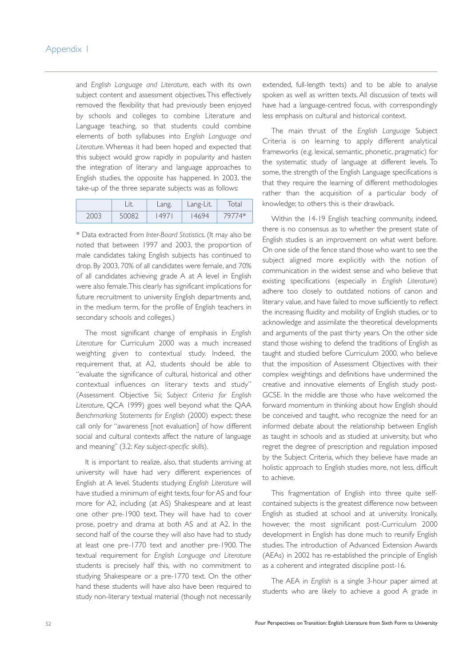and *English Language and Literature*, each with its own subject content and assessment objectives.This effectively removed the flexibility that had previously been enjoyed by schools and colleges to combine Literature and Language teaching, so that students could combine elements of both syllabuses into *English Language and Literature*. Whereas it had been hoped and expected that this subject would grow rapidly in popularity and hasten the integration of literary and language approaches to English studies, the opposite has happened. In 2003, the take-up of the three separate subjects was as follows:

|      |       | Lang. | Lang-Lit. | Total  |
|------|-------|-------|-----------|--------|
| 2003 | 50082 | 497   | 4694      | 79774* |

\* Data extracted from *Inter-Board Statistics*. (It may also be noted that between 1997 and 2003, the proportion of male candidates taking English subjects has continued to drop. By 2003, 70% of all candidates were female, and 70% of all candidates achieving grade A at A level in English were also female.This clearly has significant implications for future recruitment to university English departments and, in the medium term, for the profile of English teachers in secondary schools and colleges.)

The most significant change of emphasis in *English Literature* for Curriculum 2000 was a much increased weighting given to contextual study. Indeed, the requirement that, at A2, students should be able to "evaluate the significance of cultural, historical and other contextual influences on literary texts and study" (Assessment Objective 5ii; *Subject Criteria for English Literature*, QCA 1999) goes well beyond what the QAA *Benchmarking Statements for English* (2000) expect: these call only for "awareness [not evaluation] of how different social and cultural contexts affect the nature of language and meaning" (3.2: *Key subject-specific skills*).

It is important to realize, also, that students arriving at university will have had very different experiences of English at A level. Students studying *English Literature* will have studied a minimum of eight texts, four for AS and four more for A2, including (at AS) Shakespeare and at least one other pre-1900 text. They will have had to cover prose, poetry and drama at both AS and at A2. In the second half of the course they will also have had to study at least one pre-1770 text and another pre-1900. The textual requirement for *English Language and Literature* students is precisely half this, with no commitment to studying Shakespeare or a pre-1770 text. On the other hand these students will have also have been required to study non-literary textual material (though not necessarily extended, full-length texts) and to be able to analyse spoken as well as written texts. All discussion of texts will have had a language-centred focus, with correspondingly less emphasis on cultural and historical context.

The main thrust of the *English Language* Subject Criteria is on learning to apply different analytical frameworks (e.g. lexical, semantic, phonetic, pragmatic) for the systematic study of language at different levels. To some, the strength of the English Language specifications is that they require the learning of different methodologies rather than the acquisition of a particular body of knowledge; to others this is their drawback.

Within the 14-19 English teaching community, indeed, there is no consensus as to whether the present state of English studies is an improvement on what went before. On one side of the fence stand those who want to see the subject aligned more explicitly with the notion of communication in the widest sense and who believe that existing specifications (especially in *English Literature*) adhere too closely to outdated notions of canon and literary value, and have failed to move sufficiently to reflect the increasing fluidity and mobility of English studies, or to acknowledge and assimilate the theoretical developments and arguments of the past thirty years. On the other side stand those wishing to defend the traditions of English as taught and studied before Curriculum 2000, who believe that the imposition of Assessment Objectives with their complex weightings and definitions have undermined the creative and innovative elements of English study post-GCSE. In the middle are those who have welcomed the forward momentum in thinking about how English should be conceived and taught, who recognize the need for an informed debate about the relationship between English as taught in schools and as studied at university, but who regret the degree of prescription and regulation imposed by the Subject Criteria, which they believe have made an holistic approach to English studies more, not less, difficult to achieve.

This fragmentation of English into three quite selfcontained subjects is the greatest difference now between English as studied at school and at university. Ironically, however, the most significant post-Curriculum 2000 development in English has done much to reunify English studies. The introduction of Advanced Extension Awards (AEAs) in 2002 has re-established the principle of English as a coherent and integrated discipline post-16.

The AEA in *English* is a single 3-hour paper aimed at students who are likely to achieve a good A grade in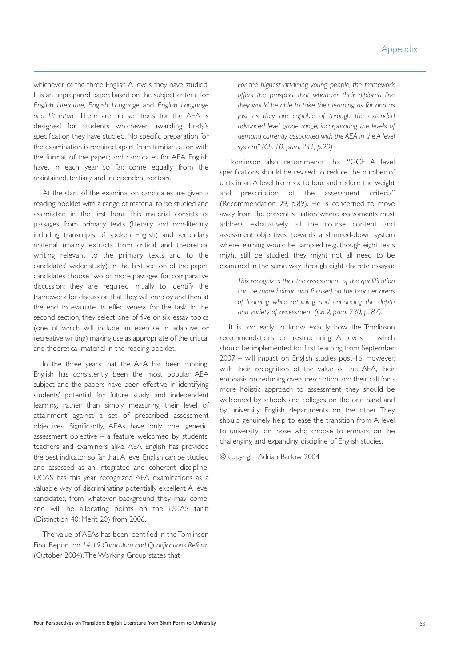whichever of the three English A levels they have studied. It is an unprepared paper, based on the subject criteria for *English Literature*, *English Language* and *English Language and Literature*. There are no set texts, for the AEA is designed for students whichever awarding body's specification they have studied. No specific preparation for the examination is required, apart from familiarization with the format of the paper; and candidates for AEA English have, in each year so far, come equally from the maintained, tertiary and independent sectors.

At the start of the examination candidates are given a reading booklet with a range of material to be studied and assimilated in the first hour. This material consists of passages from primary texts (literary and non-literary, including transcripts of spoken English) and secondary material (mainly extracts from critical and theoretical writing relevant to the primary texts and to the candidates' wider study). In the first section of the paper, candidates choose two or more passages for comparative discussion; they are required initially to identify the framework for discussion that they will employ and then at the end to evaluate its effectiveness for the task. In the second section, they select one of five or six essay topics (one of which will include an exercise in adaptive or recreative writing) making use as appropriate of the critical and theoretical material in the reading booklet.

In the three years that the AEA has been running, English has consistently been the most popular AEA subject and the papers have been effective in identifying students' potential for future study and independent learning, rather than simply measuring their level of attainment against a set of prescribed assessment objectives. Significantly, AEAs have only one, generic, assessment objective – a feature welcomed by students, teachers and examiners alike. AEA English has provided the best indicator so far that A level English can be studied and assessed as an integrated and coherent discipline. UCAS has this year recognized AEA examinations as a valuable way of discriminating potentially excellent A level candidates, from whatever background they may come, and will be allocating points on the UCAS tariff (Distinction 40; Merit 20) from 2006.

The value of AEAs has been identified in the Tomlinson Final Report on *14-19 Curriculum and Qualifications Reform* (October 2004).The Working Group states that

*For the highest attaining young people, the framework offers the prospect that whatever their diploma line they would be able to take their learning as far and as fast as they are capable of through the extended advanced level grade range, incorporating the levels of demand currently associated with the AEA in the A level system" (Ch. 10, para. 241, p.90).*

Tomlinson also recommends that "GCE A level specifications should be revised to reduce the number of units in an A level from six to four, and reduce the weight and prescription of the assessment criteria" (Recommendation 29, p.89). He is concerned to move away from the present situation where assessments must address exhaustively all the course content and assessment objectives, towards a slimmed-down system where learning would be sampled (e.g. though eight texts might still be studied, they might not all need to be examined in the same way through eight discrete essays):

*This recognizes that the assessment of the qualification can be more holistic and focused on the broader areas of learning while retaining and enhancing the depth and variety of assessment (Ch.9, para. 230, p. 87).*

It is too early to know exactly how the Tomlinson recommendations on restructuring A levels – which should be implemented for first teaching from September 2007 – will impact on English studies post-16. However, with their recognition of the value of the AEA, their emphasis on reducing over-prescription and their call for a more holistic approach to assessment, they should be welcomed by schools and colleges on the one hand and by university English departments on the other. They should genuinely help to ease the transition from A level to university for those who choose to embark on the challenging and expanding discipline of English studies.

© copyright Adrian Barlow 2004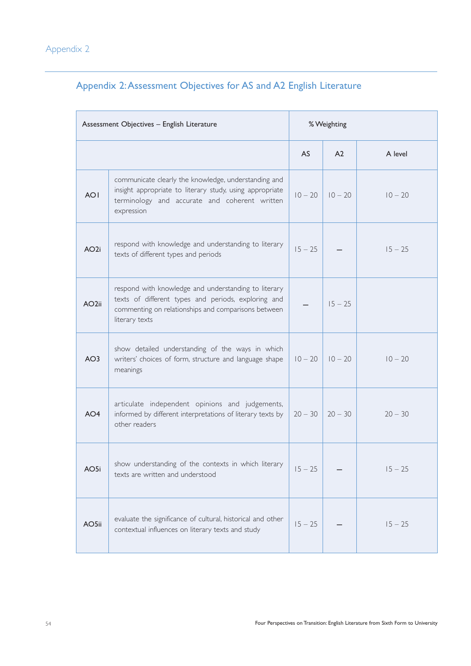|                   | Assessment Objectives - English Literature                                                                                                                                           |           |                |           |
|-------------------|--------------------------------------------------------------------------------------------------------------------------------------------------------------------------------------|-----------|----------------|-----------|
|                   |                                                                                                                                                                                      | <b>AS</b> | A <sub>2</sub> | A level   |
| <b>AOI</b>        | communicate clearly the knowledge, understanding and<br>insight appropriate to literary study, using appropriate<br>terminology and accurate and coherent written<br>expression      | $10 - 20$ | $10 - 20$      | $10 - 20$ |
| AO <sub>2i</sub>  | respond with knowledge and understanding to literary<br>texts of different types and periods                                                                                         | $15 - 25$ |                | $15 - 25$ |
| AO <sub>2ii</sub> | respond with knowledge and understanding to literary<br>texts of different types and periods, exploring and<br>commenting on relationships and comparisons between<br>literary texts |           | $15 - 25$      |           |
| AO <sub>3</sub>   | show detailed understanding of the ways in which<br>writers' choices of form, structure and language shape<br>meanings                                                               | $10 - 20$ | $10 - 20$      | $10 - 20$ |
| AO <sub>4</sub>   | articulate independent opinions and judgements,<br>informed by different interpretations of literary texts by<br>other readers                                                       | $20 - 30$ | $20 - 30$      | $20 - 30$ |
| AO5i              | show understanding of the contexts in which literary<br>texts are written and understood                                                                                             | $15 - 25$ |                | $15 - 25$ |
| AO5ii             | evaluate the significance of cultural, historical and other<br>contextual influences on literary texts and study                                                                     | $15 - 25$ |                | $15 - 25$ |

## Appendix 2:Assessment Objectives for AS and A2 English Literature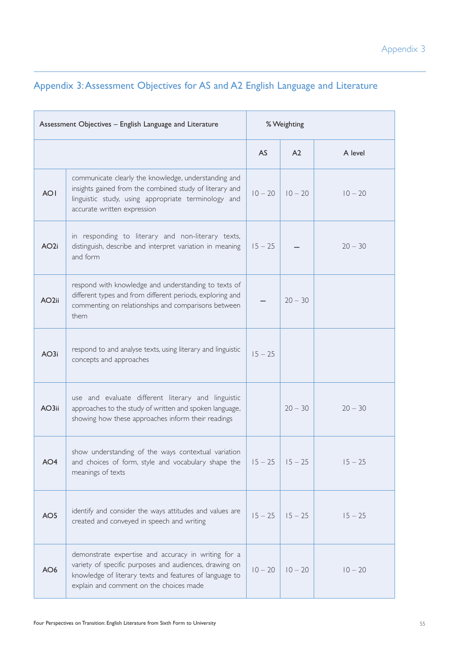|                   | Assessment Objectives - English Language and Literature                                                                                                                                                             |           | % Weighting           |           |
|-------------------|---------------------------------------------------------------------------------------------------------------------------------------------------------------------------------------------------------------------|-----------|-----------------------|-----------|
|                   |                                                                                                                                                                                                                     | <b>AS</b> | A <sub>2</sub>        | A level   |
| <b>AOI</b>        | communicate clearly the knowledge, understanding and<br>insights gained from the combined study of literary and<br>linguistic study, using appropriate terminology and<br>accurate written expression               | $10 - 20$ | $10 - 20$             | $10 - 20$ |
| AO <sub>2i</sub>  | in responding to literary and non-literary texts,<br>distinguish, describe and interpret variation in meaning<br>and form                                                                                           | $15 - 25$ |                       | $20 - 30$ |
| AO <sub>2ii</sub> | respond with knowledge and understanding to texts of<br>different types and from different periods, exploring and<br>commenting on relationships and comparisons between<br>them                                    |           | $20 - 30$             |           |
| AO3i              | respond to and analyse texts, using literary and linguistic<br>concepts and approaches                                                                                                                              | $15 - 25$ |                       |           |
| AO3ii             | use and evaluate different literary and linguistic<br>approaches to the study of written and spoken language,<br>showing how these approaches inform their readings                                                 |           | $20 - 30$             | $20 - 30$ |
| AO4               | show understanding of the ways contextual variation<br>and choices of form, style and vocabulary shape the<br>meanings of texts                                                                                     |           | $15 - 25$   $15 - 25$ | 15 – 25   |
| AO5               | identify and consider the ways attitudes and values are<br>created and conveyed in speech and writing                                                                                                               | $15 - 25$ | $15 - 25$             | $15 - 25$ |
| AO <sub>6</sub>   | demonstrate expertise and accuracy in writing for a<br>variety of specific purposes and audiences, drawing on<br>knowledge of literary texts and features of language to<br>explain and comment on the choices made | $10 - 20$ | $10 - 20$             | $10 - 20$ |

## Appendix 3:Assessment Objectives for AS and A2 English Language and Literature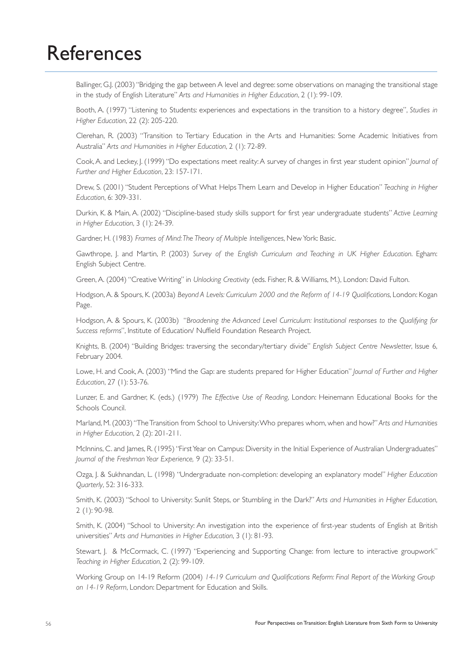# References

Ballinger, G.J. (2003) "Bridging the gap between A level and degree: some observations on managing the transitional stage in the study of English Literature" *Arts and Humanities in Higher Education*, 2 (1): 99-109.

Booth, A. (1997) "Listening to Students: experiences and expectations in the transition to a history degree", *Studies in Higher Education*, 22 (2): 205-220.

Clerehan, R. (2003) "Transition to Tertiary Education in the Arts and Humanities: Some Academic Initiatives from Australia" *Arts and Humanities in Higher Education*, 2 (1): 72-89.

Cook, A. and Leckey, J. (1999) "Do expectations meet reality: A survey of changes in first year student opinion"*Journal of Further and Higher Education*, 23: 157-171.

Drew, S. (2001) "Student Perceptions of What Helps Them Learn and Develop in Higher Education" *Teaching in Higher Education*, 6: 309-331.

Durkin, K. & Main, A. (2002) "Discipline-based study skills support for first year undergraduate students" *Active Learning in Higher Education*, 3 (1): 24-39.

Gardner, H. (1983) *Frames of Mind:The Theory of Multiple Intelligences*, New York: Basic.

Gawthrope, J. and Martin, P. (2003) *Survey of the English Curriculum and Teaching in UK Higher Education*. Egham: English Subject Centre.

Green, A. (2004) "Creative Writing" in *Unlocking Creativity* (eds. Fisher, R. & Williams, M.), London: David Fulton.

Hodgson,A. & Spours, K. (2003a) *Beyond A Levels: Curriculum 2000 and the Reform of 14-19 Qualifications*, London: Kogan Page.

Hodgson, A. & Spours, K. (2003b) "*Broadening the Advanced Level Curriculum: Institutional responses to the Qualifying for Success reforms*", Institute of Education/ Nuffield Foundation Research Project.

Knights, B. (2004) "Building Bridges: traversing the secondary/tertiary divide" *English Subject Centre Newsletter*, Issue 6, February 2004.

Lowe, H. and Cook, A. (2003) "Mind the Gap: are students prepared for Higher Education" *Journal of Further and Higher Education*, 27 (1): 53-76.

Lunzer, E. and Gardner, K. (eds.) (1979) *The Effective Use of Reading*, London: Heinemann Educational Books for the Schools Council.

Marland, M. (2003) "The Transition from School to University:Who prepares whom, when and how?" *Arts and Humanities in Higher Education*, 2 (2): 201-211.

McInnins, C. and James, R. (1995) "First Year on Campus: Diversity in the Initial Experience of Australian Undergraduates" *Journal of the Freshman Year Experience,* 9 (2): 33-51.

Ozga, J. & Sukhnandan, L. (1998) "Undergraduate non-completion: developing an explanatory model" *Higher Education Quarterly*, 52: 316-333.

Smith, K. (2003) "School to University: Sunlit Steps, or Stumbling in the Dark?" *Arts and Humanities in Higher Education*, 2 (1): 90-98.

Smith, K. (2004) "School to University: An investigation into the experience of first-year students of English at British universities" *Arts and Humanities in Higher Education*, 3 (1): 81-93.

Stewart, J. & McCormack, C. (1997) "Experiencing and Supporting Change: from lecture to interactive groupwork" *Teaching in Higher Education*, 2 (2): 99-109.

Working Group on 14-19 Reform (2004) *14-19 Curriculum and Qualifications Reform: Final Report of the Working Group on 14-19 Reform*, London: Department for Education and Skills.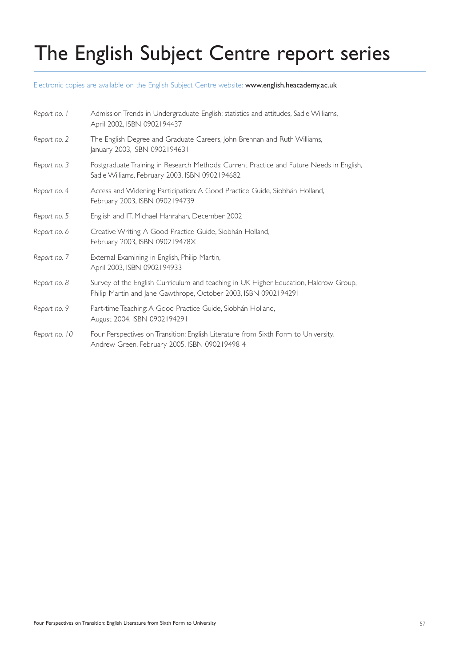# The English Subject Centre report series

Electronic copies are available on the English Subject Centre website: www.english.heacademy.ac.uk

| Report no. I  | Admission Trends in Undergraduate English: statistics and attitudes, Sadie Williams,<br>April 2002, ISBN 0902194437                                     |
|---------------|---------------------------------------------------------------------------------------------------------------------------------------------------------|
| Report no. 2  | The English Degree and Graduate Careers, John Brennan and Ruth Williams,<br>January 2003, ISBN 0902194631                                               |
| Report no. 3  | Postgraduate Training in Research Methods: Current Practice and Future Needs in English,<br>Sadie Williams, February 2003, ISBN 0902194682              |
| Report no. 4  | Access and Widening Participation: A Good Practice Guide, Siobhán Holland,<br>February 2003, ISBN 0902194739                                            |
| Report no. 5  | English and IT, Michael Hanrahan, December 2002                                                                                                         |
| Report no. 6  | Creative Writing: A Good Practice Guide, Siobhán Holland,<br>February 2003, ISBN 090219478X                                                             |
| Report no. 7  | External Examining in English, Philip Martin,<br>April 2003, ISBN 0902194933                                                                            |
| Report no. 8  | Survey of the English Curriculum and teaching in UK Higher Education, Halcrow Group,<br>Philip Martin and Jane Gawthrope, October 2003, ISBN 0902194291 |
| Report no. 9  | Part-time Teaching: A Good Practice Guide, Siobhán Holland,<br>August 2004, ISBN 0902194291                                                             |
| Report no. 10 | Four Perspectives on Transition: English Literature from Sixth Form to University,<br>Andrew Green, February 2005, ISBN 090219498 4                     |